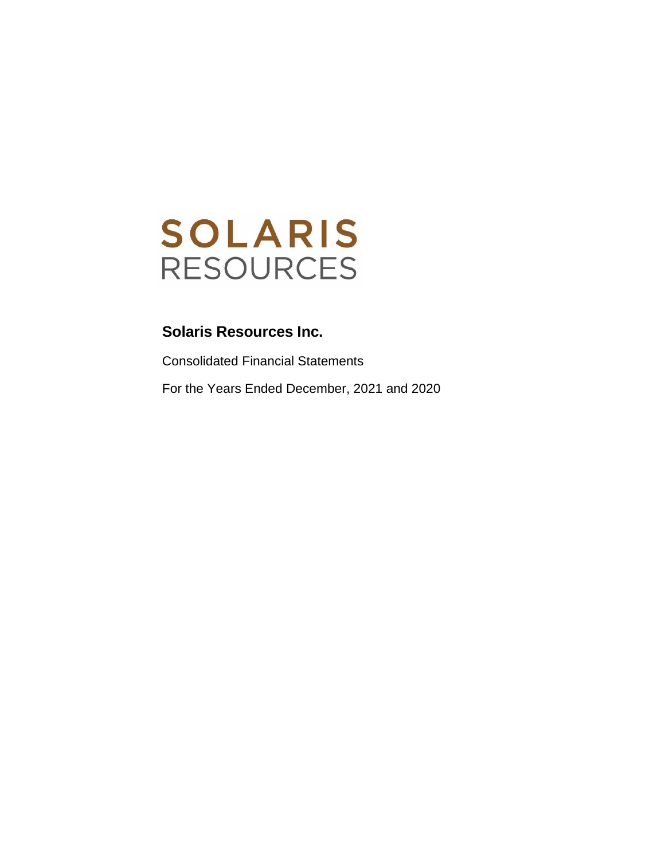

Consolidated Financial Statements For the Years Ended December, 2021 and 2020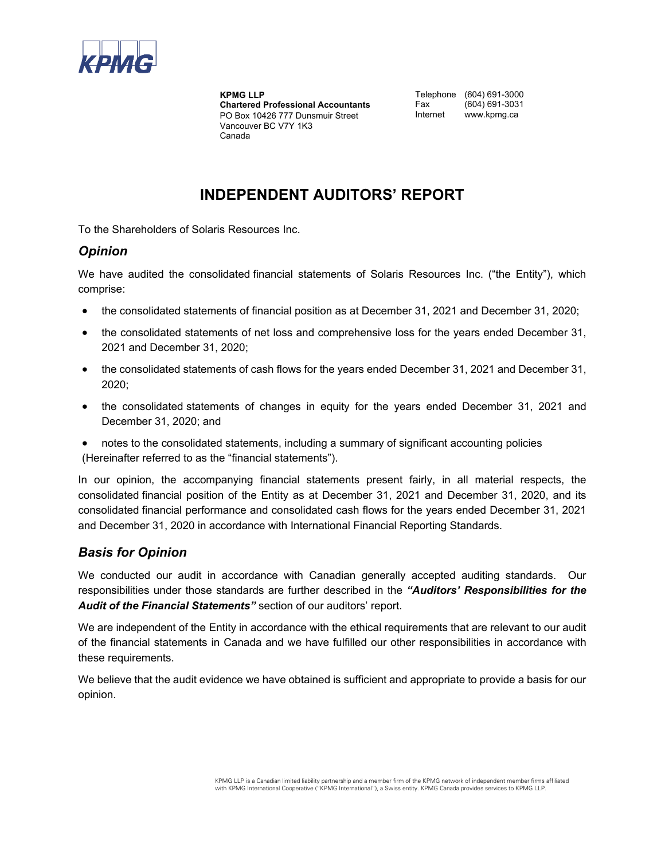

**KPMG LLP Chartered Professional Accountants**  PO Box 10426 777 Dunsmuir Street Vancouver BC V7Y 1K3 Canada

Telephone (604) 691-3000 Fax (604) 691-3031 Internet www.kpmg.ca

# **INDEPENDENT AUDITORS' REPORT**

To the Shareholders of Solaris Resources Inc.

### *Opinion*

We have audited the consolidated financial statements of Solaris Resources Inc. ("the Entity"), which comprise:

- the consolidated statements of financial position as at December 31, 2021 and December 31, 2020;
- the consolidated statements of net loss and comprehensive loss for the years ended December 31, 2021 and December 31, 2020;
- the consolidated statements of cash flows for the years ended December 31, 2021 and December 31, 2020;
- the consolidated statements of changes in equity for the years ended December 31, 2021 and December 31, 2020; and
- notes to the consolidated statements, including a summary of significant accounting policies (Hereinafter referred to as the "financial statements").

In our opinion, the accompanying financial statements present fairly, in all material respects, the consolidated financial position of the Entity as at December 31, 2021 and December 31, 2020, and its consolidated financial performance and consolidated cash flows for the years ended December 31, 2021 and December 31, 2020 in accordance with International Financial Reporting Standards.

### *Basis for Opinion*

We conducted our audit in accordance with Canadian generally accepted auditing standards. Our responsibilities under those standards are further described in the *"Auditors' Responsibilities for the Audit of the Financial Statements"* section of our auditors' report.

We are independent of the Entity in accordance with the ethical requirements that are relevant to our audit of the financial statements in Canada and we have fulfilled our other responsibilities in accordance with these requirements.

We believe that the audit evidence we have obtained is sufficient and appropriate to provide a basis for our opinion.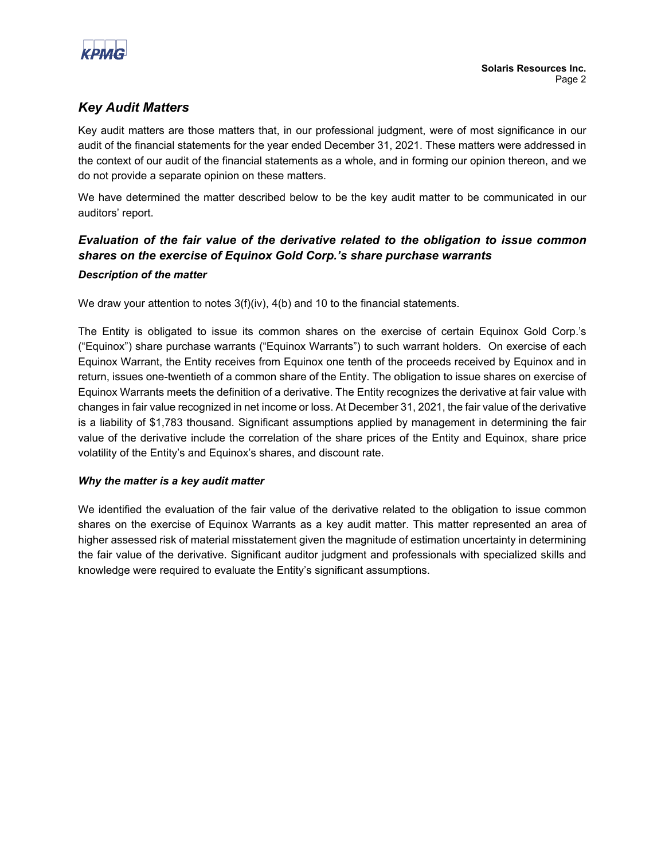

### *Key Audit Matters*

Key audit matters are those matters that, in our professional judgment, were of most significance in our audit of the financial statements for the year ended December 31, 2021. These matters were addressed in the context of our audit of the financial statements as a whole, and in forming our opinion thereon, and we do not provide a separate opinion on these matters.

We have determined the matter described below to be the key audit matter to be communicated in our auditors' report.

### *Evaluation of the fair value of the derivative related to the obligation to issue common shares on the exercise of Equinox Gold Corp.'s share purchase warrants*

### *Description of the matter*

We draw your attention to notes 3(f)(iv), 4(b) and 10 to the financial statements.

The Entity is obligated to issue its common shares on the exercise of certain Equinox Gold Corp.'s ("Equinox") share purchase warrants ("Equinox Warrants") to such warrant holders. On exercise of each Equinox Warrant, the Entity receives from Equinox one tenth of the proceeds received by Equinox and in return, issues one-twentieth of a common share of the Entity. The obligation to issue shares on exercise of Equinox Warrants meets the definition of a derivative. The Entity recognizes the derivative at fair value with changes in fair value recognized in net income or loss. At December 31, 2021, the fair value of the derivative is a liability of \$1,783 thousand. Significant assumptions applied by management in determining the fair value of the derivative include the correlation of the share prices of the Entity and Equinox, share price volatility of the Entity's and Equinox's shares, and discount rate.

### *Why the matter is a key audit matter*

We identified the evaluation of the fair value of the derivative related to the obligation to issue common shares on the exercise of Equinox Warrants as a key audit matter. This matter represented an area of higher assessed risk of material misstatement given the magnitude of estimation uncertainty in determining the fair value of the derivative. Significant auditor judgment and professionals with specialized skills and knowledge were required to evaluate the Entity's significant assumptions.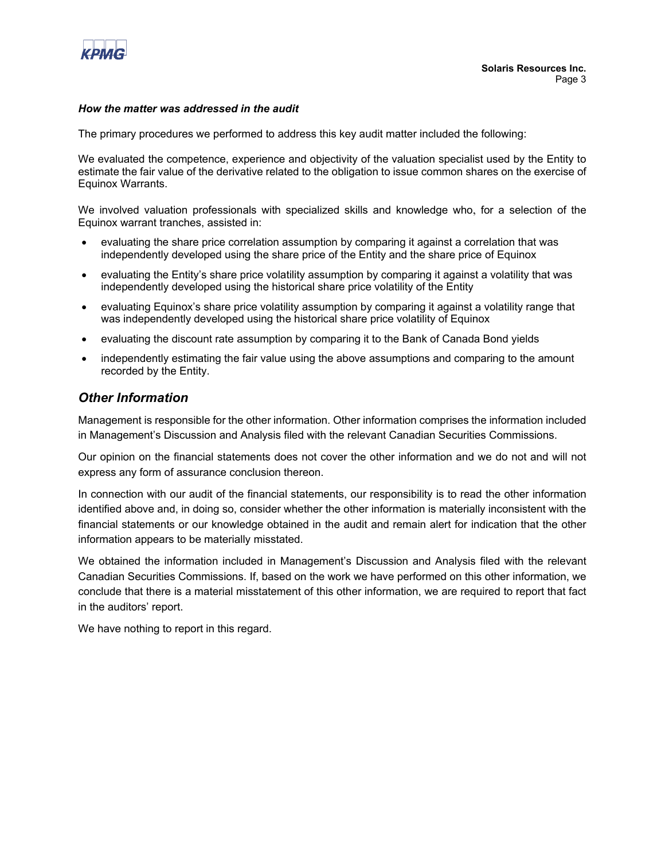

### *How the matter was addressed in the audit*

The primary procedures we performed to address this key audit matter included the following:

We evaluated the competence, experience and objectivity of the valuation specialist used by the Entity to estimate the fair value of the derivative related to the obligation to issue common shares on the exercise of Equinox Warrants.

We involved valuation professionals with specialized skills and knowledge who, for a selection of the Equinox warrant tranches, assisted in:

- evaluating the share price correlation assumption by comparing it against a correlation that was independently developed using the share price of the Entity and the share price of Equinox
- evaluating the Entity's share price volatility assumption by comparing it against a volatility that was independently developed using the historical share price volatility of the Entity
- evaluating Equinox's share price volatility assumption by comparing it against a volatility range that was independently developed using the historical share price volatility of Equinox
- evaluating the discount rate assumption by comparing it to the Bank of Canada Bond yields
- independently estimating the fair value using the above assumptions and comparing to the amount recorded by the Entity.

### *Other Information*

Management is responsible for the other information. Other information comprises the information included in Management's Discussion and Analysis filed with the relevant Canadian Securities Commissions.

Our opinion on the financial statements does not cover the other information and we do not and will not express any form of assurance conclusion thereon.

In connection with our audit of the financial statements, our responsibility is to read the other information identified above and, in doing so, consider whether the other information is materially inconsistent with the financial statements or our knowledge obtained in the audit and remain alert for indication that the other information appears to be materially misstated.

We obtained the information included in Management's Discussion and Analysis filed with the relevant Canadian Securities Commissions. If, based on the work we have performed on this other information, we conclude that there is a material misstatement of this other information, we are required to report that fact in the auditors' report.

We have nothing to report in this regard.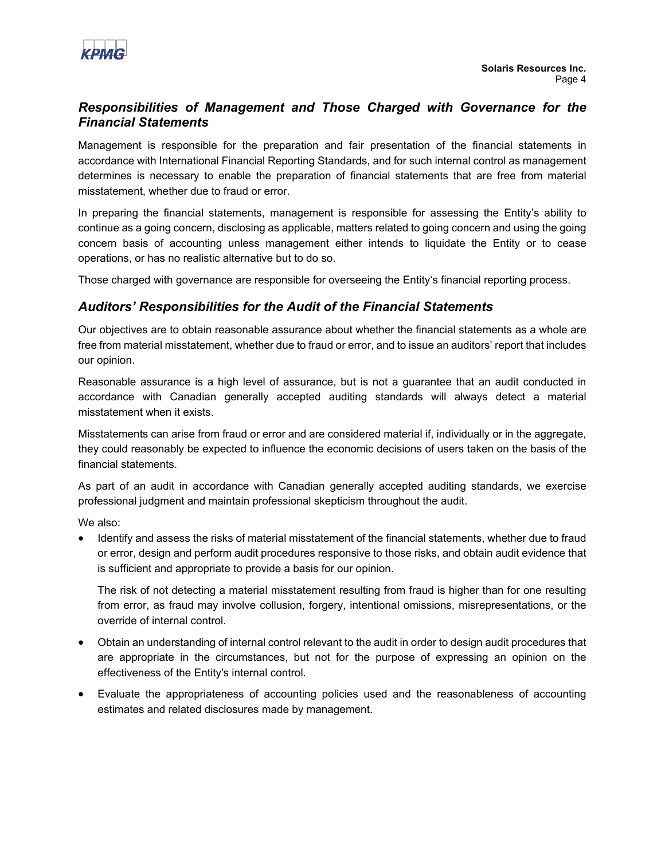

### *Responsibilities of Management and Those Charged with Governance for the Financial Statements*

Management is responsible for the preparation and fair presentation of the financial statements in accordance with International Financial Reporting Standards, and for such internal control as management determines is necessary to enable the preparation of financial statements that are free from material misstatement, whether due to fraud or error.

In preparing the financial statements, management is responsible for assessing the Entity's ability to continue as a going concern, disclosing as applicable, matters related to going concern and using the going concern basis of accounting unless management either intends to liquidate the Entity or to cease operations, or has no realistic alternative but to do so.

Those charged with governance are responsible for overseeing the Entity's financial reporting process.

### *Auditors' Responsibilities for the Audit of the Financial Statements*

Our objectives are to obtain reasonable assurance about whether the financial statements as a whole are free from material misstatement, whether due to fraud or error, and to issue an auditors' report that includes our opinion.

Reasonable assurance is a high level of assurance, but is not a guarantee that an audit conducted in accordance with Canadian generally accepted auditing standards will always detect a material misstatement when it exists.

Misstatements can arise from fraud or error and are considered material if, individually or in the aggregate, they could reasonably be expected to influence the economic decisions of users taken on the basis of the financial statements.

As part of an audit in accordance with Canadian generally accepted auditing standards, we exercise professional judgment and maintain professional skepticism throughout the audit.

We also:

 Identify and assess the risks of material misstatement of the financial statements, whether due to fraud or error, design and perform audit procedures responsive to those risks, and obtain audit evidence that is sufficient and appropriate to provide a basis for our opinion.

The risk of not detecting a material misstatement resulting from fraud is higher than for one resulting from error, as fraud may involve collusion, forgery, intentional omissions, misrepresentations, or the override of internal control.

- Obtain an understanding of internal control relevant to the audit in order to design audit procedures that are appropriate in the circumstances, but not for the purpose of expressing an opinion on the effectiveness of the Entity's internal control.
- Evaluate the appropriateness of accounting policies used and the reasonableness of accounting estimates and related disclosures made by management.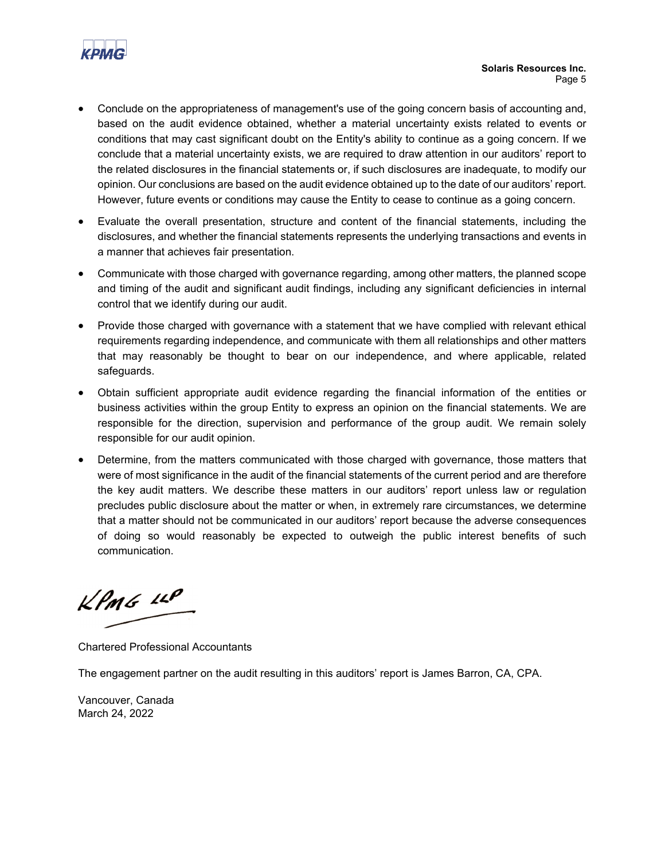

- Conclude on the appropriateness of management's use of the going concern basis of accounting and, based on the audit evidence obtained, whether a material uncertainty exists related to events or conditions that may cast significant doubt on the Entity's ability to continue as a going concern. If we conclude that a material uncertainty exists, we are required to draw attention in our auditors' report to the related disclosures in the financial statements or, if such disclosures are inadequate, to modify our opinion. Our conclusions are based on the audit evidence obtained up to the date of our auditors' report. However, future events or conditions may cause the Entity to cease to continue as a going concern.
- Evaluate the overall presentation, structure and content of the financial statements, including the disclosures, and whether the financial statements represents the underlying transactions and events in a manner that achieves fair presentation.
- Communicate with those charged with governance regarding, among other matters, the planned scope and timing of the audit and significant audit findings, including any significant deficiencies in internal control that we identify during our audit.
- Provide those charged with governance with a statement that we have complied with relevant ethical requirements regarding independence, and communicate with them all relationships and other matters that may reasonably be thought to bear on our independence, and where applicable, related safeguards.
- Obtain sufficient appropriate audit evidence regarding the financial information of the entities or business activities within the group Entity to express an opinion on the financial statements. We are responsible for the direction, supervision and performance of the group audit. We remain solely responsible for our audit opinion.
- Determine, from the matters communicated with those charged with governance, those matters that were of most significance in the audit of the financial statements of the current period and are therefore the key audit matters. We describe these matters in our auditors' report unless law or regulation precludes public disclosure about the matter or when, in extremely rare circumstances, we determine that a matter should not be communicated in our auditors' report because the adverse consequences of doing so would reasonably be expected to outweigh the public interest benefits of such communication.

 $k$ *PmG LLP* 

Chartered Professional Accountants

The engagement partner on the audit resulting in this auditors' report is James Barron, CA, CPA.

Vancouver, Canada March 24, 2022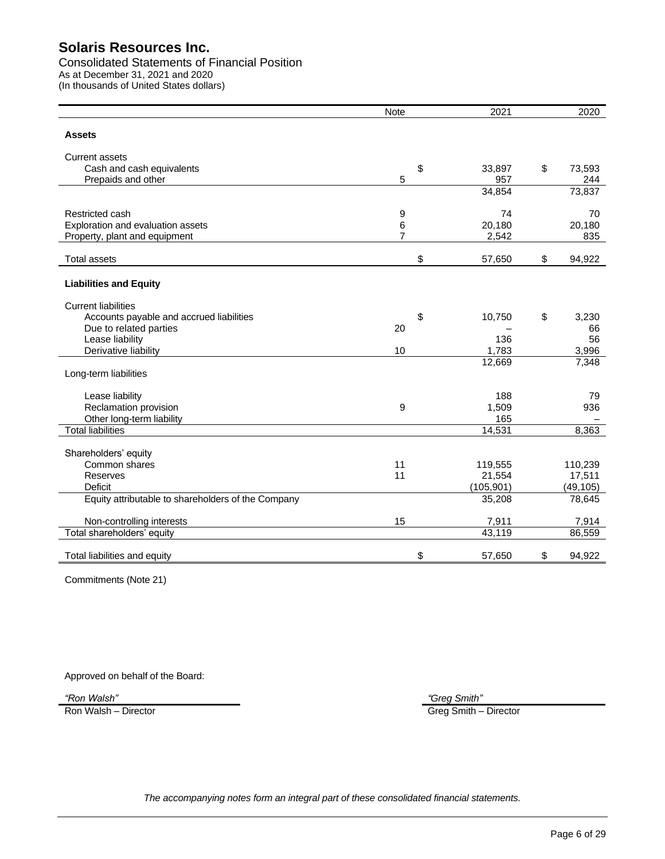Consolidated Statements of Financial Position As at December 31, 2021 and 2020 (In thousands of United States dollars)

|                                   | <b>Note</b> | 2021   | 2020         |
|-----------------------------------|-------------|--------|--------------|
| <b>Assets</b>                     |             |        |              |
| <b>Current assets</b>             |             |        |              |
| Cash and cash equivalents         | \$          | 33,897 | \$<br>73,593 |
| Prepaids and other                | 5           | 957    | 244          |
|                                   |             | 34,854 | 73,837       |
| Restricted cash                   | 9           | 74     | 70           |
| Exploration and evaluation assets | 6           | 20,180 | 20,180       |
| Property, plant and equipment     |             | 2,542  | 835          |
| Total assets                      | \$.         | 57,650 | 94,922       |
| <b>Liabilities and Equity</b>     |             |        |              |

| <b>Current liabilities</b>                         |    |           |              |
|----------------------------------------------------|----|-----------|--------------|
| Accounts payable and accrued liabilities           | \$ | 10,750    | \$<br>3,230  |
| Due to related parties                             | 20 |           | 66           |
| Lease liability                                    |    | 136       | 56           |
| Derivative liability                               | 10 | 1,783     | 3,996        |
|                                                    |    | 12,669    | 7,348        |
| Long-term liabilities                              |    |           |              |
| Lease liability                                    |    | 188       | 79           |
| Reclamation provision                              | 9  | 1,509     | 936          |
| Other long-term liability                          |    | 165       |              |
| <b>Total liabilities</b>                           |    | 14,531    | 8,363        |
|                                                    |    |           |              |
| Shareholders' equity                               |    |           |              |
| Common shares                                      | 11 | 119,555   | 110,239      |
| Reserves                                           | 11 | 21,554    | 17,511       |
| Deficit                                            |    | (105,901) | (49,105)     |
| Equity attributable to shareholders of the Company |    | 35,208    | 78,645       |
| Non-controlling interests                          | 15 | 7,911     | 7,914        |
| Total shareholders' equity                         |    | 43,119    | 86,559       |
|                                                    |    |           |              |
| Total liabilities and equity                       | \$ | 57,650    | \$<br>94,922 |

Commitments (Note 21)

Approved on behalf of the Board:

*"Ron Walsh" "Greg Smith"*

Ron Walsh – Director Greg Smith – Director

*The accompanying notes form an integral part of these consolidated financial statements.*

2021 2020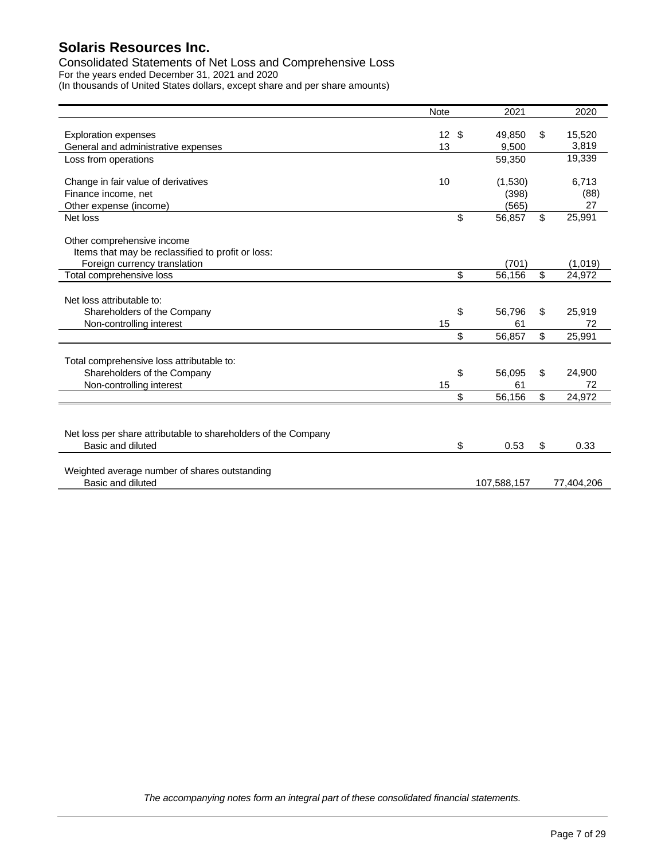Consolidated Statements of Net Loss and Comprehensive Loss For the years ended December 31, 2021 and 2020 (In thousands of United States dollars, except share and per share amounts)

|                                                                | <b>Note</b> | 2021         | 2020         |
|----------------------------------------------------------------|-------------|--------------|--------------|
|                                                                |             |              |              |
| <b>Exploration expenses</b>                                    | 12S         | 49,850       | \$<br>15,520 |
| General and administrative expenses                            | 13          | 9.500        | 3,819        |
| Loss from operations                                           |             | 59,350       | 19,339       |
|                                                                |             |              |              |
| Change in fair value of derivatives                            | 10          | (1,530)      | 6,713        |
| Finance income, net                                            |             | (398)        | (88)         |
| Other expense (income)                                         |             | (565)        | 27           |
| Net loss                                                       |             | \$<br>56,857 | \$<br>25,991 |
| Other comprehensive income                                     |             |              |              |
| Items that may be reclassified to profit or loss:              |             |              |              |
| Foreign currency translation                                   |             | (701)        | (1,019)      |
| Total comprehensive loss                                       |             | \$<br>56,156 | \$<br>24,972 |
|                                                                |             |              |              |
| Net loss attributable to:                                      |             |              |              |
| Shareholders of the Company                                    |             | \$<br>56,796 | \$<br>25,919 |
| Non-controlling interest                                       | 15          | 61           | 72           |
|                                                                |             | \$<br>56,857 | \$<br>25,991 |
| Total comprehensive loss attributable to:                      |             |              |              |
| Shareholders of the Company                                    |             | \$<br>56,095 | \$<br>24,900 |
| Non-controlling interest                                       | 15          | 61           | 72           |
|                                                                |             | \$<br>56,156 | \$<br>24,972 |
|                                                                |             |              |              |
|                                                                |             |              |              |
| Net loss per share attributable to shareholders of the Company |             |              |              |
| Basic and diluted                                              |             | \$<br>0.53   | \$<br>0.33   |
| Weighted average number of shares outstanding                  |             |              |              |
| Basic and diluted                                              |             |              |              |
|                                                                |             | 107,588,157  | 77,404,206   |

*The accompanying notes form an integral part of these consolidated financial statements.*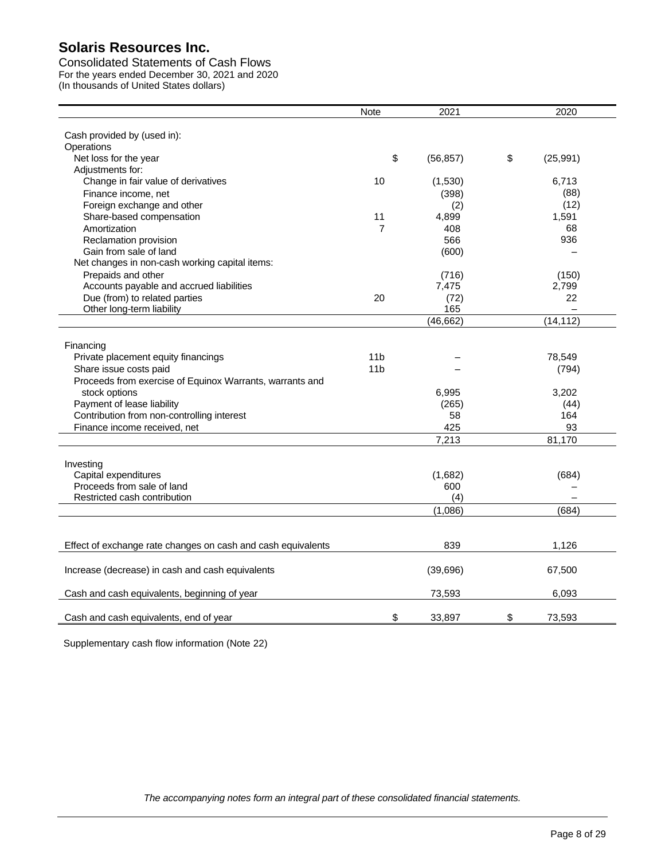Consolidated Statements of Cash Flows

For the years ended December 30, 2021 and 2020

(In thousands of United States dollars)

|                                                              | <b>Note</b>     | 2021         | 2020            |  |
|--------------------------------------------------------------|-----------------|--------------|-----------------|--|
| Cash provided by (used in):                                  |                 |              |                 |  |
| Operations                                                   |                 |              |                 |  |
| Net loss for the year                                        | \$              | (56, 857)    | \$<br>(25, 991) |  |
| Adjustments for:                                             |                 |              |                 |  |
| Change in fair value of derivatives                          | 10              | (1,530)      | 6,713           |  |
| Finance income, net                                          |                 |              | (88)            |  |
| Foreign exchange and other                                   |                 | (398)<br>(2) | (12)            |  |
| Share-based compensation                                     | 11              | 4,899        | 1,591           |  |
| Amortization                                                 | $\overline{7}$  | 408          | 68              |  |
| Reclamation provision                                        |                 | 566          | 936             |  |
| Gain from sale of land                                       |                 | (600)        |                 |  |
| Net changes in non-cash working capital items:               |                 |              |                 |  |
| Prepaids and other                                           |                 | (716)        | (150)           |  |
| Accounts payable and accrued liabilities                     |                 | 7,475        | 2,799           |  |
| Due (from) to related parties                                | 20              |              | 22              |  |
| Other long-term liability                                    |                 | (72)<br>165  |                 |  |
|                                                              |                 | (46, 662)    | (14, 112)       |  |
|                                                              |                 |              |                 |  |
|                                                              |                 |              |                 |  |
| Financing                                                    |                 |              |                 |  |
| Private placement equity financings                          | 11 <sub>b</sub> |              | 78,549          |  |
| Share issue costs paid                                       | 11 <sub>b</sub> |              | (794)           |  |
| Proceeds from exercise of Equinox Warrants, warrants and     |                 |              |                 |  |
| stock options                                                |                 | 6,995        | 3.202           |  |
| Payment of lease liability                                   |                 | (265)        | (44)            |  |
| Contribution from non-controlling interest                   |                 | 58           | 164             |  |
| Finance income received, net                                 |                 | 425          | 93              |  |
|                                                              |                 | 7,213        | 81,170          |  |
|                                                              |                 |              |                 |  |
| Investing                                                    |                 |              |                 |  |
| Capital expenditures                                         |                 | (1,682)      | (684)           |  |
| Proceeds from sale of land                                   |                 | 600          |                 |  |
| Restricted cash contribution                                 |                 | (4)          |                 |  |
|                                                              |                 | (1,086)      | (684)           |  |
|                                                              |                 |              |                 |  |
|                                                              |                 |              |                 |  |
| Effect of exchange rate changes on cash and cash equivalents |                 | 839          | 1,126           |  |
|                                                              |                 |              |                 |  |
| Increase (decrease) in cash and cash equivalents             |                 | (39, 696)    | 67,500          |  |
|                                                              |                 | 73,593       | 6,093           |  |
| Cash and cash equivalents, beginning of year                 |                 |              |                 |  |
| Cash and cash equivalents, end of year                       | \$              | 33,897       | \$<br>73,593    |  |
|                                                              |                 |              |                 |  |

Supplementary cash flow information (Note 22)

*The accompanying notes form an integral part of these consolidated financial statements.*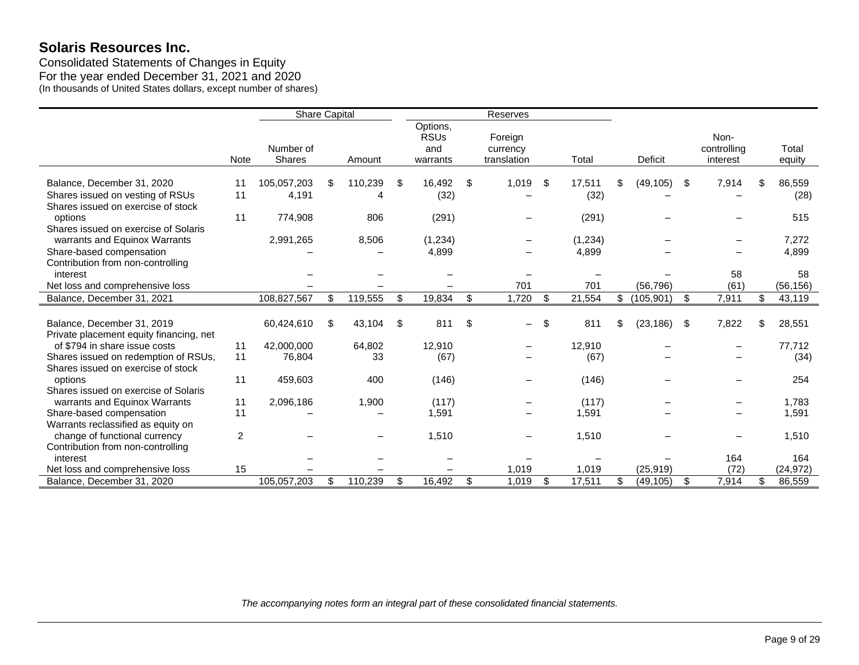Consolidated Statements of Changes in Equity For the year ended December 31, 2021 and 2020 (In thousands of United States dollars, except number of shares)

|                                         |             | <b>Share Capital</b> |    |         |              | Reserves    |     |          |                  |     |             |              |
|-----------------------------------------|-------------|----------------------|----|---------|--------------|-------------|-----|----------|------------------|-----|-------------|--------------|
|                                         |             |                      |    |         | Options,     |             |     |          |                  |     |             |              |
|                                         |             |                      |    |         | <b>RSUs</b>  | Foreign     |     |          |                  |     | Non-        |              |
|                                         |             | Number of            |    |         | and          | currency    |     |          |                  |     | controlling | Total        |
|                                         | <b>Note</b> | Shares               |    | Amount  | warrants     | translation |     | Total    | Deficit          |     | interest    | equity       |
|                                         |             |                      |    |         |              |             |     |          |                  |     |             |              |
| Balance, December 31, 2020              | 11          | 105,057,203          | S  | 110,239 | \$<br>16,492 | \$<br>1,019 | -\$ | 17,511   | \$<br>(49, 105)  | \$  | 7,914       | 86,559       |
| Shares issued on vesting of RSUs        | 11          | 4,191                |    | 4       | (32)         |             |     | (32)     |                  |     |             | (28)         |
| Shares issued on exercise of stock      |             |                      |    |         |              |             |     |          |                  |     |             |              |
| options                                 | 11          | 774,908              |    | 806     | (291)        |             |     | (291)    |                  |     |             | 515          |
| Shares issued on exercise of Solaris    |             |                      |    |         |              |             |     |          |                  |     |             |              |
| warrants and Equinox Warrants           |             | 2,991,265            |    | 8,506   | (1, 234)     |             |     | (1, 234) |                  |     |             | 7,272        |
| Share-based compensation                |             |                      |    |         | 4,899        |             |     | 4,899    |                  |     |             | 4,899        |
| Contribution from non-controlling       |             |                      |    |         |              |             |     |          |                  |     |             |              |
| interest                                |             |                      |    |         |              |             |     |          |                  |     | 58          | 58           |
| Net loss and comprehensive loss         |             |                      |    |         |              | 701         |     | 701      | (56, 796)        |     | (61)        | (56, 156)    |
| Balance, December 31, 2021              |             | 108,827,567          | \$ | 119,555 | \$<br>19,834 | \$<br>1,720 | \$  | 21,554   | \$<br>(105, 901) | \$  | 7,911       | \$<br>43,119 |
|                                         |             |                      |    |         |              |             |     |          |                  |     |             |              |
| Balance, December 31, 2019              |             | 60,424,610           | S  | 43,104  | \$<br>811    | \$<br>$-$   | \$  | 811      | \$<br>(23, 186)  | -\$ | 7,822       | \$<br>28,551 |
| Private placement equity financing, net |             |                      |    |         |              |             |     |          |                  |     |             |              |
| of \$794 in share issue costs           | 11          | 42,000,000           |    | 64,802  | 12,910       |             |     | 12,910   |                  |     |             | 77,712       |
| Shares issued on redemption of RSUs,    | 11          | 76,804               |    | 33      | (67)         |             |     | (67)     |                  |     |             | (34)         |
| Shares issued on exercise of stock      |             |                      |    |         |              |             |     |          |                  |     |             |              |
| options                                 | 11          | 459,603              |    | 400     | (146)        |             |     | (146)    |                  |     |             | 254          |
| Shares issued on exercise of Solaris    |             |                      |    |         |              |             |     |          |                  |     |             |              |
| warrants and Equinox Warrants           | 11          | 2,096,186            |    | 1,900   | (117)        |             |     | (117)    |                  |     |             | 1,783        |
| Share-based compensation                | 11          |                      |    |         | 1,591        |             |     | 1,591    |                  |     |             | 1,591        |
| Warrants reclassified as equity on      |             |                      |    |         |              |             |     |          |                  |     |             |              |
| change of functional currency           | 2           |                      |    |         | 1,510        |             |     | 1,510    |                  |     |             | 1,510        |
| Contribution from non-controlling       |             |                      |    |         |              |             |     |          |                  |     |             |              |
| interest                                |             |                      |    |         |              |             |     |          |                  |     | 164         | 164          |
| Net loss and comprehensive loss         | 15          |                      |    |         |              | 1,019       |     | 1.019    | (25.919)         |     | (72)        | (24, 972)    |
| Balance, December 31, 2020              |             | 105,057,203          | \$ | 110,239 | \$<br>16,492 | \$<br>1,019 | \$  | 17,511   | \$<br>(49, 105)  | \$  | 7,914       | \$<br>86,559 |

*The accompanying notes form an integral part of these consolidated financial statements.*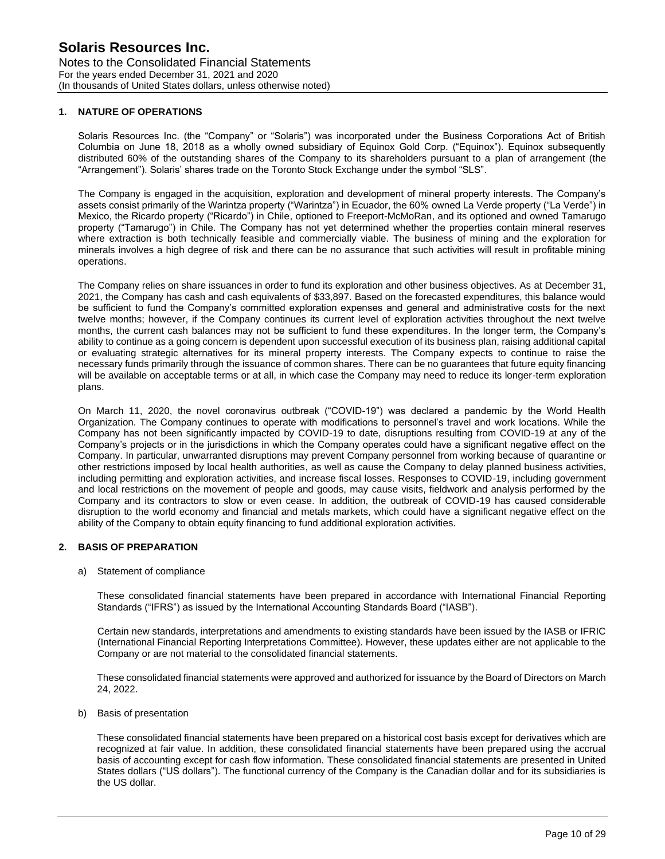#### **1. NATURE OF OPERATIONS**

Solaris Resources Inc. (the "Company" or "Solaris") was incorporated under the Business Corporations Act of British Columbia on June 18, 2018 as a wholly owned subsidiary of Equinox Gold Corp. ("Equinox"). Equinox subsequently distributed 60% of the outstanding shares of the Company to its shareholders pursuant to a plan of arrangement (the "Arrangement"). Solaris' shares trade on the Toronto Stock Exchange under the symbol "SLS".

The Company is engaged in the acquisition, exploration and development of mineral property interests. The Company's assets consist primarily of the Warintza property ("Warintza") in Ecuador, the 60% owned La Verde property ("La Verde") in Mexico, the Ricardo property ("Ricardo") in Chile, optioned to Freeport-McMoRan, and its optioned and owned Tamarugo property ("Tamarugo") in Chile. The Company has not yet determined whether the properties contain mineral reserves where extraction is both technically feasible and commercially viable. The business of mining and the exploration for minerals involves a high degree of risk and there can be no assurance that such activities will result in profitable mining operations.

The Company relies on share issuances in order to fund its exploration and other business objectives. As at December 31, 2021, the Company has cash and cash equivalents of \$33,897. Based on the forecasted expenditures, this balance would be sufficient to fund the Company's committed exploration expenses and general and administrative costs for the next twelve months; however, if the Company continues its current level of exploration activities throughout the next twelve months, the current cash balances may not be sufficient to fund these expenditures. In the longer term, the Company's ability to continue as a going concern is dependent upon successful execution of its business plan, raising additional capital or evaluating strategic alternatives for its mineral property interests. The Company expects to continue to raise the necessary funds primarily through the issuance of common shares. There can be no guarantees that future equity financing will be available on acceptable terms or at all, in which case the Company may need to reduce its longer-term exploration plans.

<span id="page-10-0"></span>On March 11, 2020, the novel coronavirus outbreak ("COVID-19") was declared a pandemic by the World Health Organization. The Company continues to operate with modifications to personnel's travel and work locations. While the Company has not been significantly impacted by COVID-19 to date, disruptions resulting from COVID-19 at any of the Company's projects or in the jurisdictions in which the Company operates could have a significant negative effect on the Company. In particular, unwarranted disruptions may prevent Company personnel from working because of quarantine or other restrictions imposed by local health authorities, as well as cause the Company to delay planned business activities, including permitting and exploration activities, and increase fiscal losses. Responses to COVID-19, including government and local restrictions on the movement of people and goods, may cause visits, fieldwork and analysis performed by the Company and its contractors to slow or even cease. In addition, the outbreak of COVID-19 has caused considerable disruption to the world economy and financial and metals markets, which could have a significant negative effect on the ability of the Company to obtain equity financing to fund additional exploration activities.

#### **2. BASIS OF PREPARATION**

a) Statement of compliance

These consolidated financial statements have been prepared in accordance with International Financial Reporting Standards ("IFRS") as issued by the International Accounting Standards Board ("IASB").

Certain new standards, interpretations and amendments to existing standards have been issued by the IASB or IFRIC (International Financial Reporting Interpretations Committee). However, these updates either are not applicable to the Company or are not material to the consolidated financial statements.

These consolidated financial statements were approved and authorized for issuance by the Board of Directors on March 24, 2022.

b) Basis of presentation

These consolidated financial statements have been prepared on a historical cost basis except for derivatives which are recognized at fair value. In addition, these consolidated financial statements have been prepared using the accrual basis of accounting except for cash flow information. These consolidated financial statements are presented in United States dollars ("US dollars"). The functional currency of the Company is the Canadian dollar and for its subsidiaries is the US dollar.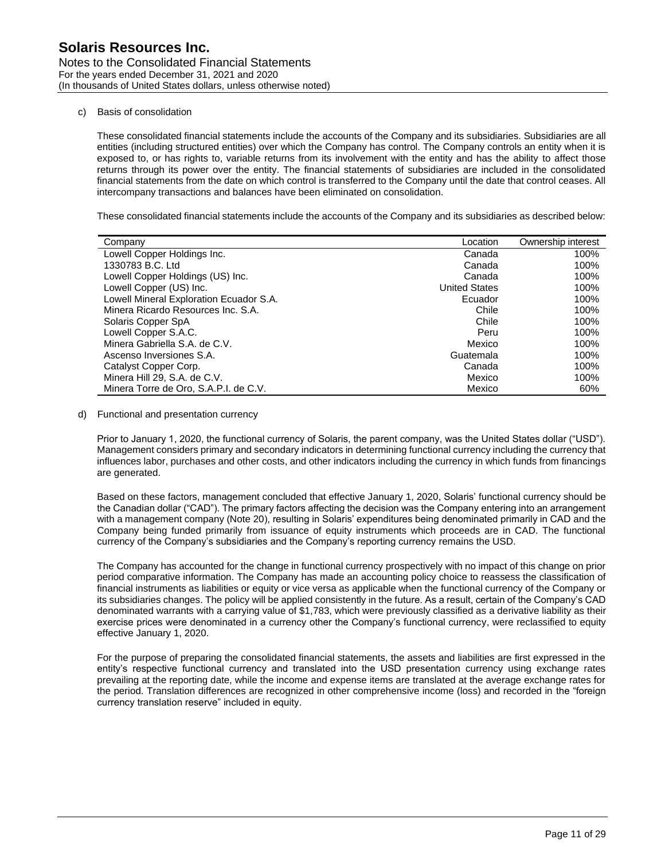c) Basis of consolidation

These consolidated financial statements include the accounts of the Company and its subsidiaries. Subsidiaries are all entities (including structured entities) over which the Company has control. The Company controls an entity when it is exposed to, or has rights to, variable returns from its involvement with the entity and has the ability to affect those returns through its power over the entity. The financial statements of subsidiaries are included in the consolidated financial statements from the date on which control is transferred to the Company until the date that control ceases. All intercompany transactions and balances have been eliminated on consolidation.

These consolidated financial statements include the accounts of the Company and its subsidiaries as described below:

| Company                                 | Location             | Ownership interest |
|-----------------------------------------|----------------------|--------------------|
| Lowell Copper Holdings Inc.             | Canada               | 100%               |
| 1330783 B.C. Ltd                        | Canada               | 100%               |
| Lowell Copper Holdings (US) Inc.        | Canada               | 100%               |
| Lowell Copper (US) Inc.                 | <b>United States</b> | 100%               |
| Lowell Mineral Exploration Ecuador S.A. | Ecuador              | 100%               |
| Minera Ricardo Resources Inc. S.A.      | Chile                | 100%               |
| Solaris Copper SpA                      | Chile                | 100%               |
| Lowell Copper S.A.C.                    | Peru                 | 100%               |
| Minera Gabriella S.A. de C.V.           | Mexico               | 100%               |
| Ascenso Inversiones S.A.                | Guatemala            | 100%               |
| Catalyst Copper Corp.                   | Canada               | 100%               |
| Minera Hill 29, S.A. de C.V.            | Mexico               | 100%               |
| Minera Torre de Oro, S.A.P.I. de C.V.   | Mexico               | 60%                |

d) Functional and presentation currency

Prior to January 1, 2020, the functional currency of Solaris, the parent company, was the United States dollar ("USD"). Management considers primary and secondary indicators in determining functional currency including the currency that influences labor, purchases and other costs, and other indicators including the currency in which funds from financings are generated.

Based on these factors, management concluded that effective January 1, 2020, Solaris' functional currency should be the Canadian dollar ("CAD"). The primary factors affecting the decision was the Company entering into an arrangement with a management company (Note [20\)](#page-28-0), resulting in Solaris' expenditures being denominated primarily in CAD and the Company being funded primarily from issuance of equity instruments which proceeds are in CAD. The functional currency of the Company's subsidiaries and the Company's reporting currency remains the USD.

The Company has accounted for the change in functional currency prospectively with no impact of this change on prior period comparative information. The Company has made an accounting policy choice to reassess the classification of financial instruments as liabilities or equity or vice versa as applicable when the functional currency of the Company or its subsidiaries changes. The policy will be applied consistently in the future. As a result, certain of the Company's CAD denominated warrants with a carrying value of \$1,783, which were previously classified as a derivative liability as their exercise prices were denominated in a currency other the Company's functional currency, were reclassified to equity effective January 1, 2020.

For the purpose of preparing the consolidated financial statements, the assets and liabilities are first expressed in the entity's respective functional currency and translated into the USD presentation currency using exchange rates prevailing at the reporting date, while the income and expense items are translated at the average exchange rates for the period. Translation differences are recognized in other comprehensive income (loss) and recorded in the "foreign currency translation reserve" included in equity.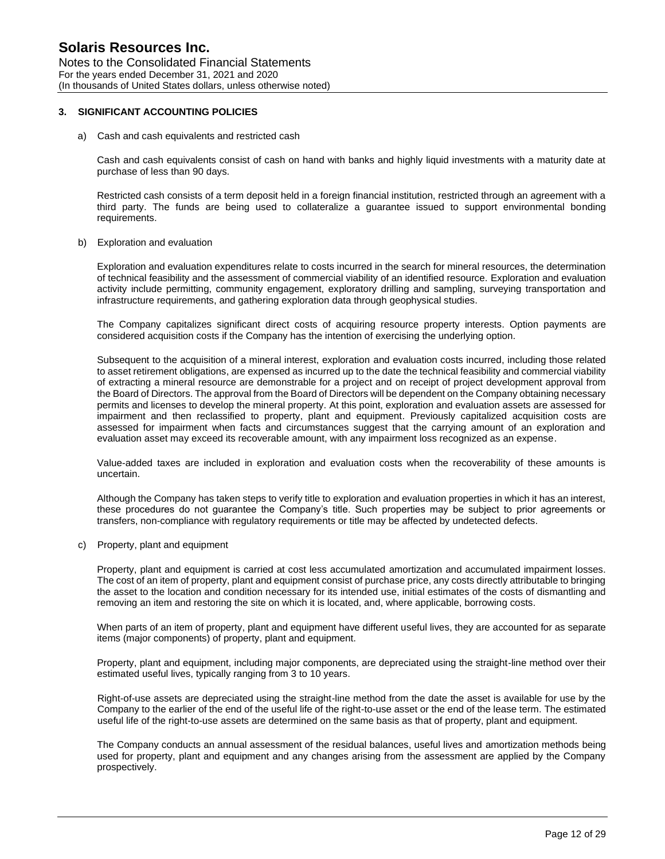#### **3. SIGNIFICANT ACCOUNTING POLICIES**

a) Cash and cash equivalents and restricted cash

Cash and cash equivalents consist of cash on hand with banks and highly liquid investments with a maturity date at purchase of less than 90 days.

Restricted cash consists of a term deposit held in a foreign financial institution, restricted through an agreement with a third party. The funds are being used to collateralize a guarantee issued to support environmental bonding requirements.

#### b) Exploration and evaluation

Exploration and evaluation expenditures relate to costs incurred in the search for mineral resources, the determination of technical feasibility and the assessment of commercial viability of an identified resource. Exploration and evaluation activity include permitting, community engagement, exploratory drilling and sampling, surveying transportation and infrastructure requirements, and gathering exploration data through geophysical studies.

The Company capitalizes significant direct costs of acquiring resource property interests. Option payments are considered acquisition costs if the Company has the intention of exercising the underlying option.

Subsequent to the acquisition of a mineral interest, exploration and evaluation costs incurred, including those related to asset retirement obligations, are expensed as incurred up to the date the technical feasibility and commercial viability of extracting a mineral resource are demonstrable for a project and on receipt of project development approval from the Board of Directors. The approval from the Board of Directors will be dependent on the Company obtaining necessary permits and licenses to develop the mineral property. At this point, exploration and evaluation assets are assessed for impairment and then reclassified to property, plant and equipment. Previously capitalized acquisition costs are assessed for impairment when facts and circumstances suggest that the carrying amount of an exploration and evaluation asset may exceed its recoverable amount, with any impairment loss recognized as an expense.

Value-added taxes are included in exploration and evaluation costs when the recoverability of these amounts is uncertain.

Although the Company has taken steps to verify title to exploration and evaluation properties in which it has an interest, these procedures do not guarantee the Company's title. Such properties may be subject to prior agreements or transfers, non-compliance with regulatory requirements or title may be affected by undetected defects.

c) Property, plant and equipment

Property, plant and equipment is carried at cost less accumulated amortization and accumulated impairment losses. The cost of an item of property, plant and equipment consist of purchase price, any costs directly attributable to bringing the asset to the location and condition necessary for its intended use, initial estimates of the costs of dismantling and removing an item and restoring the site on which it is located, and, where applicable, borrowing costs.

When parts of an item of property, plant and equipment have different useful lives, they are accounted for as separate items (major components) of property, plant and equipment.

Property, plant and equipment, including major components, are depreciated using the straight-line method over their estimated useful lives, typically ranging from 3 to 10 years.

Right-of-use assets are depreciated using the straight-line method from the date the asset is available for use by the Company to the earlier of the end of the useful life of the right-to-use asset or the end of the lease term. The estimated useful life of the right-to-use assets are determined on the same basis as that of property, plant and equipment.

The Company conducts an annual assessment of the residual balances, useful lives and amortization methods being used for property, plant and equipment and any changes arising from the assessment are applied by the Company prospectively.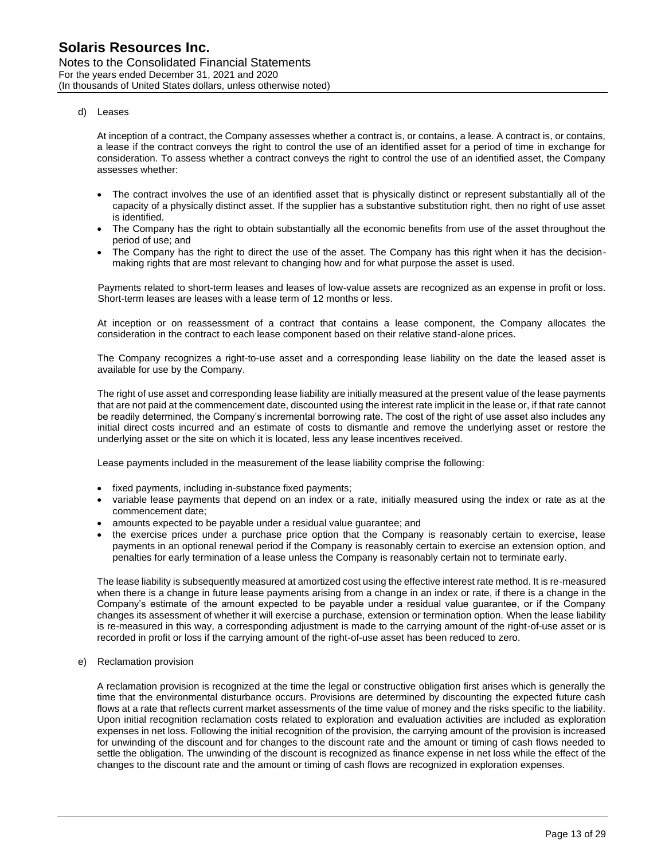Notes to the Consolidated Financial Statements For the years ended December 31, 2021 and 2020 (In thousands of United States dollars, unless otherwise noted)

#### d) Leases

At inception of a contract, the Company assesses whether a contract is, or contains, a lease. A contract is, or contains, a lease if the contract conveys the right to control the use of an identified asset for a period of time in exchange for consideration. To assess whether a contract conveys the right to control the use of an identified asset, the Company assesses whether:

- The contract involves the use of an identified asset that is physically distinct or represent substantially all of the capacity of a physically distinct asset. If the supplier has a substantive substitution right, then no right of use asset is identified.
- The Company has the right to obtain substantially all the economic benefits from use of the asset throughout the period of use; and
- The Company has the right to direct the use of the asset. The Company has this right when it has the decisionmaking rights that are most relevant to changing how and for what purpose the asset is used.

Payments related to short-term leases and leases of low-value assets are recognized as an expense in profit or loss. Short-term leases are leases with a lease term of 12 months or less.

At inception or on reassessment of a contract that contains a lease component, the Company allocates the consideration in the contract to each lease component based on their relative stand-alone prices.

The Company recognizes a right-to-use asset and a corresponding lease liability on the date the leased asset is available for use by the Company.

The right of use asset and corresponding lease liability are initially measured at the present value of the lease payments that are not paid at the commencement date, discounted using the interest rate implicit in the lease or, if that rate cannot be readily determined, the Company's incremental borrowing rate. The cost of the right of use asset also includes any initial direct costs incurred and an estimate of costs to dismantle and remove the underlying asset or restore the underlying asset or the site on which it is located, less any lease incentives received.

Lease payments included in the measurement of the lease liability comprise the following:

- fixed payments, including in-substance fixed payments;
- variable lease payments that depend on an index or a rate, initially measured using the index or rate as at the commencement date;
- amounts expected to be payable under a residual value guarantee; and
- the exercise prices under a purchase price option that the Company is reasonably certain to exercise, lease payments in an optional renewal period if the Company is reasonably certain to exercise an extension option, and penalties for early termination of a lease unless the Company is reasonably certain not to terminate early.

The lease liability is subsequently measured at amortized cost using the effective interest rate method. It is re-measured when there is a change in future lease payments arising from a change in an index or rate, if there is a change in the Company's estimate of the amount expected to be payable under a residual value guarantee, or if the Company changes its assessment of whether it will exercise a purchase, extension or termination option. When the lease liability is re-measured in this way, a corresponding adjustment is made to the carrying amount of the right-of-use asset or is recorded in profit or loss if the carrying amount of the right-of-use asset has been reduced to zero.

#### e) Reclamation provision

A reclamation provision is recognized at the time the legal or constructive obligation first arises which is generally the time that the environmental disturbance occurs. Provisions are determined by discounting the expected future cash flows at a rate that reflects current market assessments of the time value of money and the risks specific to the liability. Upon initial recognition reclamation costs related to exploration and evaluation activities are included as exploration expenses in net loss. Following the initial recognition of the provision, the carrying amount of the provision is increased for unwinding of the discount and for changes to the discount rate and the amount or timing of cash flows needed to settle the obligation. The unwinding of the discount is recognized as finance expense in net loss while the effect of the changes to the discount rate and the amount or timing of cash flows are recognized in exploration expenses.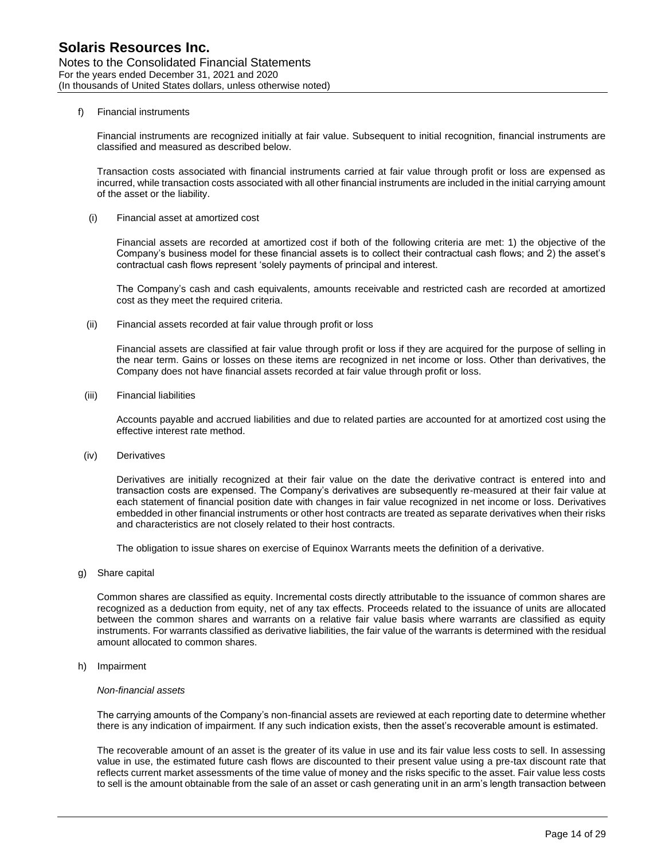#### f) Financial instruments

Financial instruments are recognized initially at fair value. Subsequent to initial recognition, financial instruments are classified and measured as described below.

Transaction costs associated with financial instruments carried at fair value through profit or loss are expensed as incurred, while transaction costs associated with all other financial instruments are included in the initial carrying amount of the asset or the liability.

#### (i) Financial asset at amortized cost

Financial assets are recorded at amortized cost if both of the following criteria are met: 1) the objective of the Company's business model for these financial assets is to collect their contractual cash flows; and 2) the asset's contractual cash flows represent 'solely payments of principal and interest.

The Company's cash and cash equivalents, amounts receivable and restricted cash are recorded at amortized cost as they meet the required criteria.

(ii) Financial assets recorded at fair value through profit or loss

Financial assets are classified at fair value through profit or loss if they are acquired for the purpose of selling in the near term. Gains or losses on these items are recognized in net income or loss. Other than derivatives, the Company does not have financial assets recorded at fair value through profit or loss.

(iii) Financial liabilities

Accounts payable and accrued liabilities and due to related parties are accounted for at amortized cost using the effective interest rate method.

(iv) Derivatives

Derivatives are initially recognized at their fair value on the date the derivative contract is entered into and transaction costs are expensed. The Company's derivatives are subsequently re-measured at their fair value at each statement of financial position date with changes in fair value recognized in net income or loss. Derivatives embedded in other financial instruments or other host contracts are treated as separate derivatives when their risks and characteristics are not closely related to their host contracts.

The obligation to issue shares on exercise of Equinox Warrants meets the definition of a derivative.

g) Share capital

Common shares are classified as equity. Incremental costs directly attributable to the issuance of common shares are recognized as a deduction from equity, net of any tax effects. Proceeds related to the issuance of units are allocated between the common shares and warrants on a relative fair value basis where warrants are classified as equity instruments. For warrants classified as derivative liabilities, the fair value of the warrants is determined with the residual amount allocated to common shares.

h) Impairment

#### *Non-financial assets*

The carrying amounts of the Company's non-financial assets are reviewed at each reporting date to determine whether there is any indication of impairment. If any such indication exists, then the asset's recoverable amount is estimated.

The recoverable amount of an asset is the greater of its value in use and its fair value less costs to sell. In assessing value in use, the estimated future cash flows are discounted to their present value using a pre-tax discount rate that reflects current market assessments of the time value of money and the risks specific to the asset. Fair value less costs to sell is the amount obtainable from the sale of an asset or cash generating unit in an arm's length transaction between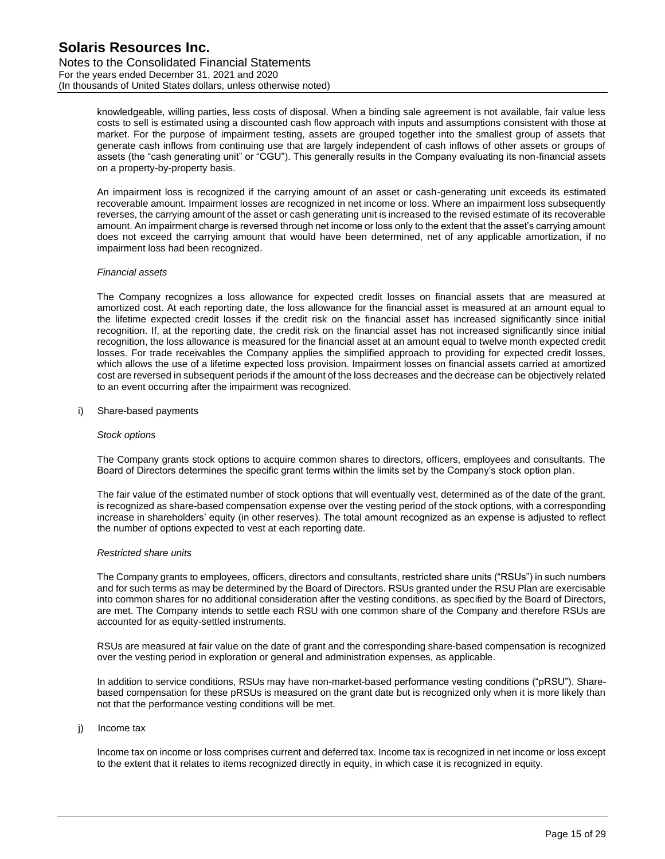knowledgeable, willing parties, less costs of disposal. When a binding sale agreement is not available, fair value less costs to sell is estimated using a discounted cash flow approach with inputs and assumptions consistent with those at market. For the purpose of impairment testing, assets are grouped together into the smallest group of assets that generate cash inflows from continuing use that are largely independent of cash inflows of other assets or groups of assets (the "cash generating unit" or "CGU"). This generally results in the Company evaluating its non-financial assets on a property-by-property basis.

An impairment loss is recognized if the carrying amount of an asset or cash-generating unit exceeds its estimated recoverable amount. Impairment losses are recognized in net income or loss. Where an impairment loss subsequently reverses, the carrying amount of the asset or cash generating unit is increased to the revised estimate of its recoverable amount. An impairment charge is reversed through net income or loss only to the extent that the asset's carrying amount does not exceed the carrying amount that would have been determined, net of any applicable amortization, if no impairment loss had been recognized.

#### *Financial assets*

The Company recognizes a loss allowance for expected credit losses on financial assets that are measured at amortized cost. At each reporting date, the loss allowance for the financial asset is measured at an amount equal to the lifetime expected credit losses if the credit risk on the financial asset has increased significantly since initial recognition. If, at the reporting date, the credit risk on the financial asset has not increased significantly since initial recognition, the loss allowance is measured for the financial asset at an amount equal to twelve month expected credit losses. For trade receivables the Company applies the simplified approach to providing for expected credit losses, which allows the use of a lifetime expected loss provision. Impairment losses on financial assets carried at amortized cost are reversed in subsequent periods if the amount of the loss decreases and the decrease can be objectively related to an event occurring after the impairment was recognized.

i) Share-based payments

#### *Stock options*

The Company grants stock options to acquire common shares to directors, officers, employees and consultants. The Board of Directors determines the specific grant terms within the limits set by the Company's stock option plan.

The fair value of the estimated number of stock options that will eventually vest, determined as of the date of the grant, is recognized as share-based compensation expense over the vesting period of the stock options, with a corresponding increase in shareholders' equity (in other reserves). The total amount recognized as an expense is adjusted to reflect the number of options expected to vest at each reporting date.

#### *Restricted share units*

The Company grants to employees, officers, directors and consultants, restricted share units ("RSUs") in such numbers and for such terms as may be determined by the Board of Directors. RSUs granted under the RSU Plan are exercisable into common shares for no additional consideration after the vesting conditions, as specified by the Board of Directors, are met. The Company intends to settle each RSU with one common share of the Company and therefore RSUs are accounted for as equity-settled instruments.

RSUs are measured at fair value on the date of grant and the corresponding share-based compensation is recognized over the vesting period in exploration or general and administration expenses, as applicable.

In addition to service conditions, RSUs may have non-market-based performance vesting conditions ("pRSU"). Sharebased compensation for these pRSUs is measured on the grant date but is recognized only when it is more likely than not that the performance vesting conditions will be met.

#### j) Income tax

Income tax on income or loss comprises current and deferred tax. Income tax is recognized in net income or loss except to the extent that it relates to items recognized directly in equity, in which case it is recognized in equity.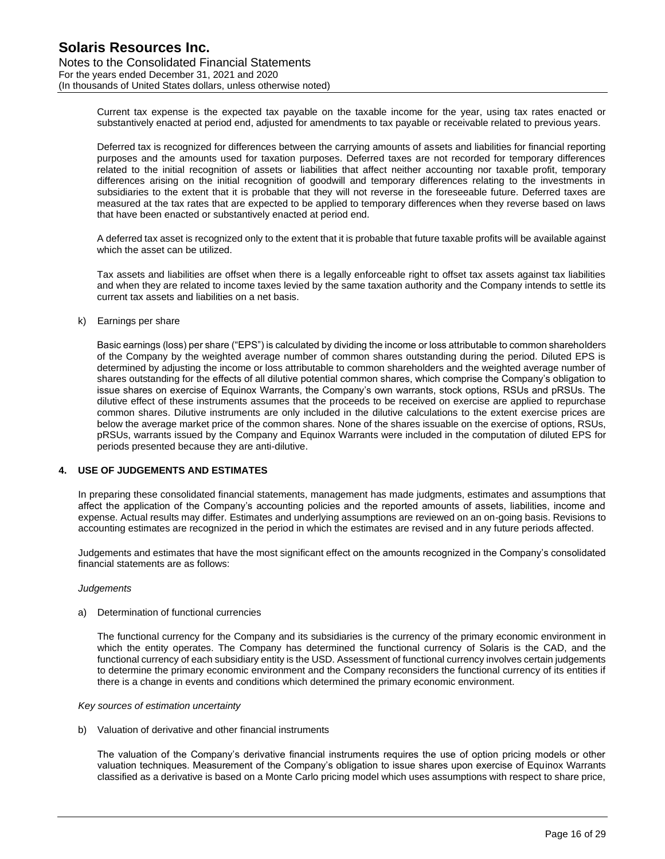Notes to the Consolidated Financial Statements For the years ended December 31, 2021 and 2020 (In thousands of United States dollars, unless otherwise noted)

> Current tax expense is the expected tax payable on the taxable income for the year, using tax rates enacted or substantively enacted at period end, adjusted for amendments to tax payable or receivable related to previous years.

> Deferred tax is recognized for differences between the carrying amounts of assets and liabilities for financial reporting purposes and the amounts used for taxation purposes. Deferred taxes are not recorded for temporary differences related to the initial recognition of assets or liabilities that affect neither accounting nor taxable profit, temporary differences arising on the initial recognition of goodwill and temporary differences relating to the investments in subsidiaries to the extent that it is probable that they will not reverse in the foreseeable future. Deferred taxes are measured at the tax rates that are expected to be applied to temporary differences when they reverse based on laws that have been enacted or substantively enacted at period end.

> A deferred tax asset is recognized only to the extent that it is probable that future taxable profits will be available against which the asset can be utilized.

> Tax assets and liabilities are offset when there is a legally enforceable right to offset tax assets against tax liabilities and when they are related to income taxes levied by the same taxation authority and the Company intends to settle its current tax assets and liabilities on a net basis.

k) Earnings per share

Basic earnings (loss) per share ("EPS") is calculated by dividing the income or loss attributable to common shareholders of the Company by the weighted average number of common shares outstanding during the period. Diluted EPS is determined by adjusting the income or loss attributable to common shareholders and the weighted average number of shares outstanding for the effects of all dilutive potential common shares, which comprise the Company's obligation to issue shares on exercise of Equinox Warrants, the Company's own warrants, stock options, RSUs and pRSUs. The dilutive effect of these instruments assumes that the proceeds to be received on exercise are applied to repurchase common shares. Dilutive instruments are only included in the dilutive calculations to the extent exercise prices are below the average market price of the common shares. None of the shares issuable on the exercise of options, RSUs, pRSUs, warrants issued by the Company and Equinox Warrants were included in the computation of diluted EPS for periods presented because they are anti-dilutive.

### **4. USE OF JUDGEMENTS AND ESTIMATES**

In preparing these consolidated financial statements, management has made judgments, estimates and assumptions that affect the application of the Company's accounting policies and the reported amounts of assets, liabilities, income and expense. Actual results may differ. Estimates and underlying assumptions are reviewed on an on-going basis. Revisions to accounting estimates are recognized in the period in which the estimates are revised and in any future periods affected.

Judgements and estimates that have the most significant effect on the amounts recognized in the Company's consolidated financial statements are as follows:

#### *Judgements*

a) Determination of functional currencies

The functional currency for the Company and its subsidiaries is the currency of the primary economic environment in which the entity operates. The Company has determined the functional currency of Solaris is the CAD, and the functional currency of each subsidiary entity is the USD. Assessment of functional currency involves certain judgements to determine the primary economic environment and the Company reconsiders the functional currency of its entities if there is a change in events and conditions which determined the primary economic environment.

#### *Key sources of estimation uncertainty*

b) Valuation of derivative and other financial instruments

The valuation of the Company's derivative financial instruments requires the use of option pricing models or other valuation techniques. Measurement of the Company's obligation to issue shares upon exercise of Equinox Warrants classified as a derivative is based on a Monte Carlo pricing model which uses assumptions with respect to share price,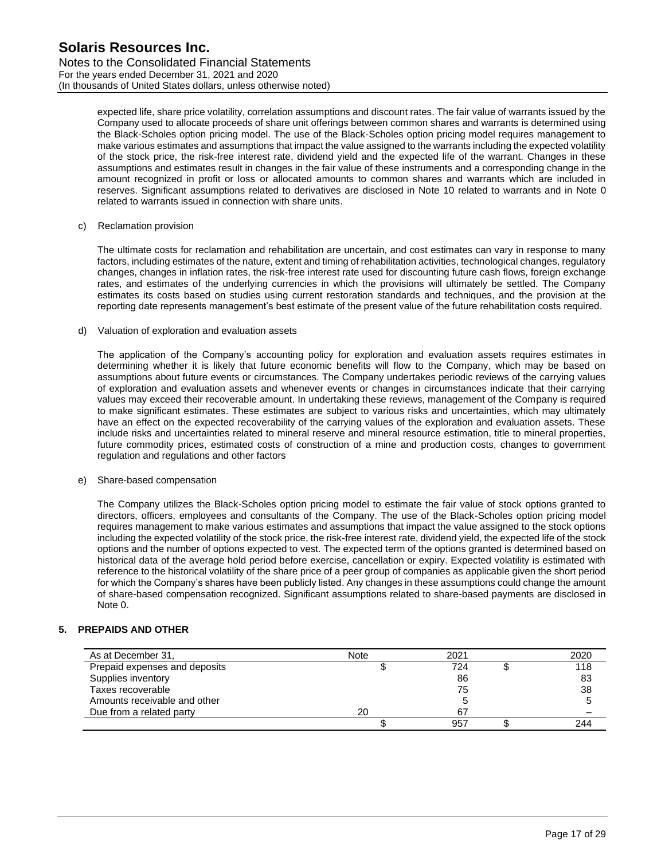Notes to the Consolidated Financial Statements For the years ended December 31, 2021 and 2020 (In thousands of United States dollars, unless otherwise noted)

> expected life, share price volatility, correlation assumptions and discount rates. The fair value of warrants issued by the Company used to allocate proceeds of share unit offerings between common shares and warrants is determined using the Black-Scholes option pricing model. The use of the Black-Scholes option pricing model requires management to make various estimates and assumptions that impact the value assigned to the warrants including the expected volatility of the stock price, the risk-free interest rate, dividend yield and the expected life of the warrant. Changes in these assumptions and estimates result in changes in the fair value of these instruments and a corresponding change in the amount recognized in profit or loss or allocated amounts to common shares and warrants which are included in reserves. Significant assumptions related to derivatives are disclosed in Note 10 related to warrants and in Note [0](#page-21-0) related to warrants issued in connection with share units.

#### c) Reclamation provision

The ultimate costs for reclamation and rehabilitation are uncertain, and cost estimates can vary in response to many factors, including estimates of the nature, extent and timing of rehabilitation activities, technological changes, regulatory changes, changes in inflation rates, the risk-free interest rate used for discounting future cash flows, foreign exchange rates, and estimates of the underlying currencies in which the provisions will ultimately be settled. The Company estimates its costs based on studies using current restoration standards and techniques, and the provision at the reporting date represents management's best estimate of the present value of the future rehabilitation costs required.

#### d) Valuation of exploration and evaluation assets

The application of the Company's accounting policy for exploration and evaluation assets requires estimates in determining whether it is likely that future economic benefits will flow to the Company, which may be based on assumptions about future events or circumstances. The Company undertakes periodic reviews of the carrying values of exploration and evaluation assets and whenever events or changes in circumstances indicate that their carrying values may exceed their recoverable amount. In undertaking these reviews, management of the Company is required to make significant estimates. These estimates are subject to various risks and uncertainties, which may ultimately have an effect on the expected recoverability of the carrying values of the exploration and evaluation assets. These include risks and uncertainties related to mineral reserve and mineral resource estimation, title to mineral properties, future commodity prices, estimated costs of construction of a mine and production costs, changes to government regulation and regulations and other factors

#### e) Share-based compensation

The Company utilizes the Black-Scholes option pricing model to estimate the fair value of stock options granted to directors, officers, employees and consultants of the Company. The use of the Black-Scholes option pricing model requires management to make various estimates and assumptions that impact the value assigned to the stock options including the expected volatility of the stock price, the risk-free interest rate, dividend yield, the expected life of the stock options and the number of options expected to vest. The expected term of the options granted is determined based on historical data of the average hold period before exercise, cancellation or expiry. Expected volatility is estimated with reference to the historical volatility of the share price of a peer group of companies as applicable given the short period for which the Company's shares have been publicly listed. Any changes in these assumptions could change the amount of share-based compensation recognized. Significant assumptions related to share-based payments are disclosed in Note [0.](#page-21-0)

#### **5. PREPAIDS AND OTHER**

| As at December 31,            | Note | 2021 | 2020 |
|-------------------------------|------|------|------|
| Prepaid expenses and deposits |      | 724  | 118  |
| Supplies inventory            |      | 86   | 83   |
| Taxes recoverable             |      | 75   | 38   |
| Amounts receivable and other  |      |      |      |
| Due from a related party      | 20   | 67   |      |
|                               |      | 957  | 244  |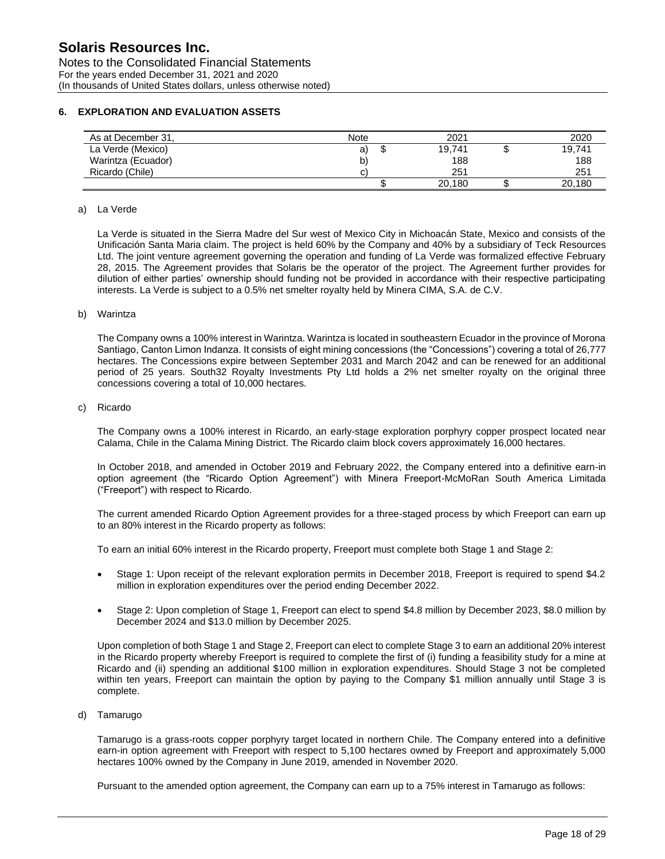Notes to the Consolidated Financial Statements For the years ended December 31, 2021 and 2020 (In thousands of United States dollars, unless otherwise noted)

#### **6. EXPLORATION AND EVALUATION ASSETS**

| As at December 31, | Note |   | 2021   |   | 2020   |
|--------------------|------|---|--------|---|--------|
| La Verde (Mexico)  | a)   | w | 19,741 | ѡ | 19,741 |
| Warintza (Ecuador) |      |   | 188    |   | 188    |
| Ricardo (Chile)    |      |   | 251    |   | 251    |
|                    |      |   | 20,180 |   | 20.180 |

#### a) La Verde

La Verde is situated in the Sierra Madre del Sur west of Mexico City in Michoacán State, Mexico and consists of the Unificación Santa Maria claim. The project is held 60% by the Company and 40% by a subsidiary of Teck Resources Ltd. The joint venture agreement governing the operation and funding of La Verde was formalized effective February 28, 2015. The Agreement provides that Solaris be the operator of the project. The Agreement further provides for dilution of either parties' ownership should funding not be provided in accordance with their respective participating interests. La Verde is subject to a 0.5% net smelter royalty held by Minera CIMA, S.A. de C.V.

#### b) Warintza

The Company owns a 100% interest in Warintza. Warintza is located in southeastern Ecuador in the province of Morona Santiago, Canton Limon Indanza. It consists of eight mining concessions (the "Concessions") covering a total of 26,777 hectares. The Concessions expire between September 2031 and March 2042 and can be renewed for an additional period of 25 years. South32 Royalty Investments Pty Ltd holds a 2% net smelter royalty on the original three concessions covering a total of 10,000 hectares.

#### c) Ricardo

The Company owns a 100% interest in Ricardo, an early-stage exploration porphyry copper prospect located near Calama, Chile in the Calama Mining District. The Ricardo claim block covers approximately 16,000 hectares.

In October 2018, and amended in October 2019 and February 2022, the Company entered into a definitive earn-in option agreement (the "Ricardo Option Agreement") with Minera Freeport-McMoRan South America Limitada ("Freeport") with respect to Ricardo.

The current amended Ricardo Option Agreement provides for a three-staged process by which Freeport can earn up to an 80% interest in the Ricardo property as follows:

To earn an initial 60% interest in the Ricardo property, Freeport must complete both Stage 1 and Stage 2:

- Stage 1: Upon receipt of the relevant exploration permits in December 2018, Freeport is required to spend \$4.2 million in exploration expenditures over the period ending December 2022.
- Stage 2: Upon completion of Stage 1, Freeport can elect to spend \$4.8 million by December 2023, \$8.0 million by December 2024 and \$13.0 million by December 2025.

Upon completion of both Stage 1 and Stage 2, Freeport can elect to complete Stage 3 to earn an additional 20% interest in the Ricardo property whereby Freeport is required to complete the first of (i) funding a feasibility study for a mine at Ricardo and (ii) spending an additional \$100 million in exploration expenditures. Should Stage 3 not be completed within ten years, Freeport can maintain the option by paying to the Company \$1 million annually until Stage 3 is complete.

#### d) Tamarugo

Tamarugo is a grass-roots copper porphyry target located in northern Chile. The Company entered into a definitive earn-in option agreement with Freeport with respect to 5,100 hectares owned by Freeport and approximately 5,000 hectares 100% owned by the Company in June 2019, amended in November 2020.

Pursuant to the amended option agreement, the Company can earn up to a 75% interest in Tamarugo as follows: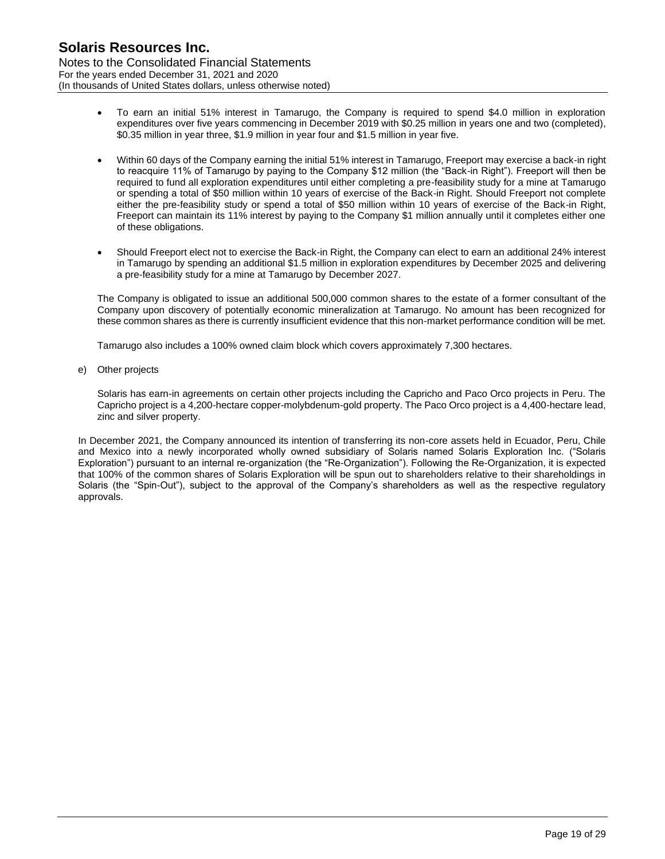Notes to the Consolidated Financial Statements For the years ended December 31, 2021 and 2020 (In thousands of United States dollars, unless otherwise noted)

- To earn an initial 51% interest in Tamarugo, the Company is required to spend \$4.0 million in exploration expenditures over five years commencing in December 2019 with \$0.25 million in years one and two (completed), \$0.35 million in year three, \$1.9 million in year four and \$1.5 million in year five.
- Within 60 days of the Company earning the initial 51% interest in Tamarugo, Freeport may exercise a back-in right to reacquire 11% of Tamarugo by paying to the Company \$12 million (the "Back-in Right"). Freeport will then be required to fund all exploration expenditures until either completing a pre-feasibility study for a mine at Tamarugo or spending a total of \$50 million within 10 years of exercise of the Back-in Right. Should Freeport not complete either the pre-feasibility study or spend a total of \$50 million within 10 years of exercise of the Back-in Right, Freeport can maintain its 11% interest by paying to the Company \$1 million annually until it completes either one of these obligations.
- Should Freeport elect not to exercise the Back-in Right, the Company can elect to earn an additional 24% interest in Tamarugo by spending an additional \$1.5 million in exploration expenditures by December 2025 and delivering a pre-feasibility study for a mine at Tamarugo by December 2027.

The Company is obligated to issue an additional 500,000 common shares to the estate of a former consultant of the Company upon discovery of potentially economic mineralization at Tamarugo. No amount has been recognized for these common shares as there is currently insufficient evidence that this non-market performance condition will be met.

Tamarugo also includes a 100% owned claim block which covers approximately 7,300 hectares.

e) Other projects

Solaris has earn-in agreements on certain other projects including the Capricho and Paco Orco projects in Peru. The Capricho project is a 4,200-hectare copper-molybdenum-gold property. The Paco Orco project is a 4,400-hectare lead, zinc and silver property.

In December 2021, the Company announced its intention of transferring its non-core assets held in Ecuador, Peru, Chile and Mexico into a newly incorporated wholly owned subsidiary of Solaris named Solaris Exploration Inc. ("Solaris Exploration") pursuant to an internal re-organization (the "Re-Organization"). Following the Re-Organization, it is expected that 100% of the common shares of Solaris Exploration will be spun out to shareholders relative to their shareholdings in Solaris (the "Spin-Out"), subject to the approval of the Company's shareholders as well as the respective regulatory approvals.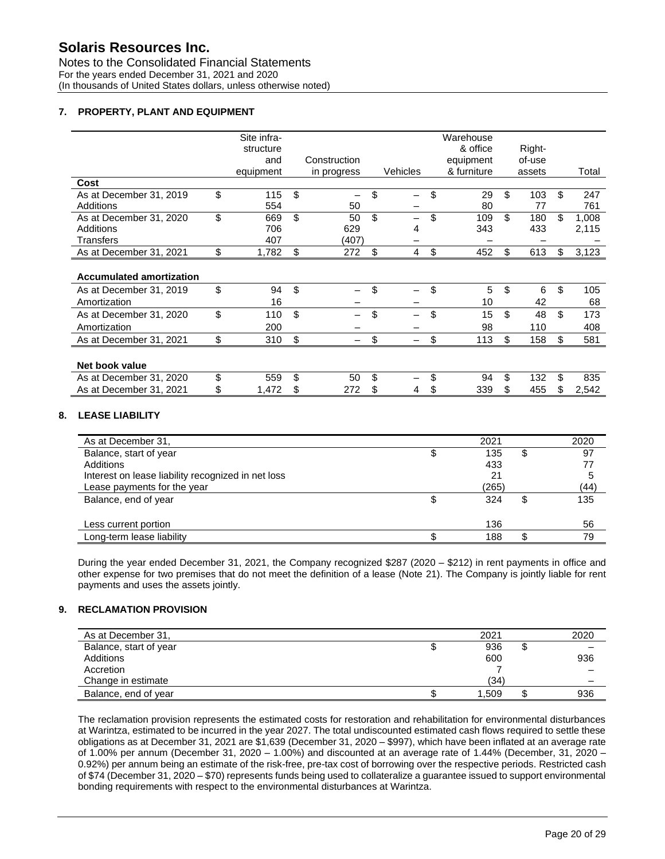Notes to the Consolidated Financial Statements For the years ended December 31, 2021 and 2020 (In thousands of United States dollars, unless otherwise noted)

### **7. PROPERTY, PLANT AND EQUIPMENT**

|                                 | Site infra- |    |              |     |          | Warehouse   |     |        |             |
|---------------------------------|-------------|----|--------------|-----|----------|-------------|-----|--------|-------------|
|                                 | structure   |    |              |     |          | & office    |     | Right- |             |
|                                 | and         |    | Construction |     |          | equipment   |     | of-use |             |
|                                 | equipment   |    | in progress  |     | Vehicles | & furniture |     | assets | Total       |
| Cost                            |             |    |              |     |          |             |     |        |             |
| As at December 31, 2019         | \$<br>115   | \$ |              | \$  |          | \$<br>29    | \$  | 103    | \$<br>247   |
| Additions                       | 554         |    | 50           |     |          | 80          |     | 77     | 761         |
| As at December 31, 2020         | \$<br>669   | \$ | 50           | \$. | —        | \$<br>109   | \$. | 180    | \$<br>1,008 |
| Additions                       | 706         |    | 629          |     | 4        | 343         |     | 433    | 2,115       |
| Transfers                       | 407         |    | (407)        |     |          |             |     |        |             |
| As at December 31, 2021         | \$<br>1,782 | \$ | 272          | \$  | 4        | \$<br>452   | \$  | 613    | \$<br>3,123 |
|                                 |             |    |              |     |          |             |     |        |             |
| <b>Accumulated amortization</b> |             |    |              |     |          |             |     |        |             |
| As at December 31, 2019         | \$<br>94    | \$ |              | \$  |          | \$<br>5     | \$  | 6      | \$<br>105   |
| Amortization                    | 16          |    |              |     |          | 10          |     | 42     | 68          |
| As at December 31, 2020         | \$<br>110   | \$ |              | \$  |          | \$<br>15    | \$  | 48     | \$<br>173   |
| Amortization                    | 200         |    |              |     |          | 98          |     | 110    | 408         |
| As at December 31, 2021         | \$<br>310   | \$ |              | \$  |          | \$<br>113   | \$  | 158    | \$<br>581   |
|                                 |             |    |              |     |          |             |     |        |             |
| Net book value                  |             |    |              |     |          |             |     |        |             |
| As at December 31, 2020         | \$<br>559   | \$ | 50           | \$  |          | \$<br>94    | \$  | 132    | \$<br>835   |
| As at December 31, 2021         | \$<br>1,472 | S  | 272          | S   | 4        | 339         | S   | 455    | \$<br>2,542 |
|                                 |             |    |              |     |          |             |     |        |             |

#### **8. LEASE LIABILITY**

| As at December 31,                                 | 2021  |   | 2020 |
|----------------------------------------------------|-------|---|------|
| Balance, start of year                             | 135   | ъ | 97   |
| Additions                                          | 433   |   | 77   |
| Interest on lease liability recognized in net loss | 21    |   | 5    |
| Lease payments for the year                        | (265) |   | (44) |
| Balance, end of year                               | 324   | ጦ | 135  |
| Less current portion                               | 136   |   | 56   |
| Long-term lease liability                          | 188   |   | 79   |

During the year ended December 31, 2021, the Company recognized \$287 (2020 – \$212) in rent payments in office and other expense for two premises that do not meet the definition of a lease (Note 21). The Company is jointly liable for rent payments and uses the assets jointly.

### **9. RECLAMATION PROVISION**

| As at December 31,     |   | 2021  | 2020                         |
|------------------------|---|-------|------------------------------|
| Balance, start of year | J | 936   | $\qquad \qquad \blacksquare$ |
| Additions              |   | 600   | 936                          |
| Accretion              |   |       |                              |
| Change in estimate     |   | (34)  | $\overline{\phantom{0}}$     |
| Balance, end of year   |   | 1,509 | 936                          |

The reclamation provision represents the estimated costs for restoration and rehabilitation for environmental disturbances at Warintza, estimated to be incurred in the year 2027. The total undiscounted estimated cash flows required to settle these obligations as at December 31, 2021 are \$1,639 (December 31, 2020 – \$997), which have been inflated at an average rate of 1.00% per annum (December 31, 2020 – 1.00%) and discounted at an average rate of 1.44% (December, 31, 2020 – 0.92%) per annum being an estimate of the risk-free, pre-tax cost of borrowing over the respective periods. Restricted cash of \$74 (December 31, 2020 – \$70) represents funds being used to collateralize a guarantee issued to support environmental bonding requirements with respect to the environmental disturbances at Warintza.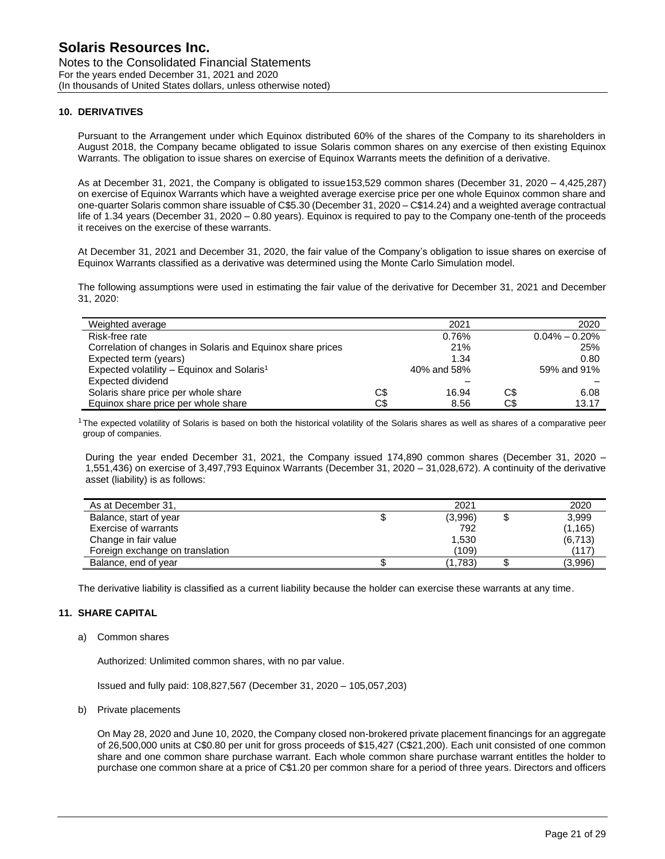#### **10. DERIVATIVES**

Pursuant to the Arrangement under which Equinox distributed 60% of the shares of the Company to its shareholders in August 2018, the Company became obligated to issue Solaris common shares on any exercise of then existing Equinox Warrants. The obligation to issue shares on exercise of Equinox Warrants meets the definition of a derivative.

As at December 31, 2021, the Company is obligated to issue153,529 common shares (December 31, 2020 – 4,425,287) on exercise of Equinox Warrants which have a weighted average exercise price per one whole Equinox common share and one-quarter Solaris common share issuable of C\$5.30 (December 31, 2020 – C\$14.24) and a weighted average contractual life of 1.34 years (December 31, 2020 – 0.80 years). Equinox is required to pay to the Company one-tenth of the proceeds it receives on the exercise of these warrants.

At December 31, 2021 and December 31, 2020, the fair value of the Company's obligation to issue shares on exercise of Equinox Warrants classified as a derivative was determined using the Monte Carlo Simulation model.

The following assumptions were used in estimating the fair value of the derivative for December 31, 2021 and December 31, 2020:

| Weighted average                                           |     | 2021        |     | 2020              |
|------------------------------------------------------------|-----|-------------|-----|-------------------|
| Risk-free rate                                             |     | 0.76%       |     | $0.04\% - 0.20\%$ |
| Correlation of changes in Solaris and Equinox share prices |     | 21%         |     | 25%               |
| Expected term (years)                                      |     | 1.34        |     | 0.80              |
| Expected volatility – Equinox and Solaris <sup>1</sup>     |     | 40% and 58% |     | 59% and 91%       |
| Expected dividend                                          |     |             |     |                   |
| Solaris share price per whole share                        | C\$ | 16.94       | C\$ | 6.08              |
| Equinox share price per whole share                        | C\$ | 8.56        | C\$ | 13.17             |

<sup>1</sup>The expected volatility of Solaris is based on both the historical volatility of the Solaris shares as well as shares of a comparative peer group of companies.

During the year ended December 31, 2021, the Company issued 174,890 common shares (December 31, 2020 – 1,551,436) on exercise of 3,497,793 Equinox Warrants (December 31, 2020 – 31,028,672). A continuity of the derivative asset (liability) is as follows:

| As at December 31.              | 2021    | 2020     |
|---------------------------------|---------|----------|
| Balance, start of year          | (3,996) | 3,999    |
| Exercise of warrants            | 792     | (1, 165) |
| Change in fair value            | 1,530   | (6, 713) |
| Foreign exchange on translation | (109)   | (117)    |
| Balance, end of year            | (1,783) | (3,996)  |

<span id="page-21-0"></span>The derivative liability is classified as a current liability because the holder can exercise these warrants at any time.

#### **11. SHARE CAPITAL**

a) Common shares

Authorized: Unlimited common shares, with no par value.

Issued and fully paid: 108,827,567 (December 31, 2020 – 105,057,203)

b) Private placements

On May 28, 2020 and June 10, 2020, the Company closed non-brokered private placement financings for an aggregate of 26,500,000 units at C\$0.80 per unit for gross proceeds of \$15,427 (C\$21,200). Each unit consisted of one common share and one common share purchase warrant. Each whole common share purchase warrant entitles the holder to purchase one common share at a price of C\$1.20 per common share for a period of three years. Directors and officers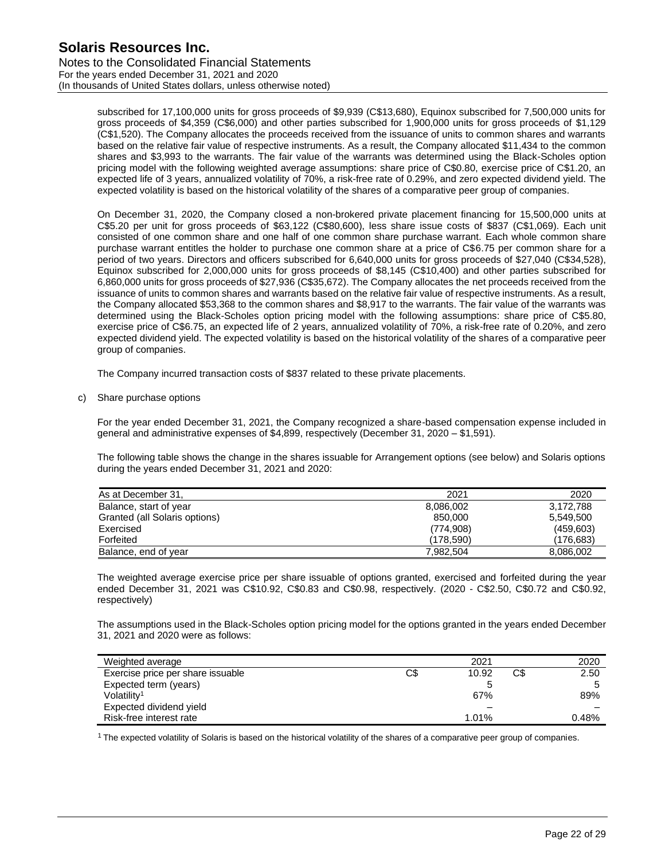subscribed for 17,100,000 units for gross proceeds of \$9,939 (C\$13,680), Equinox subscribed for 7,500,000 units for gross proceeds of \$4,359 (C\$6,000) and other parties subscribed for 1,900,000 units for gross proceeds of \$1,129 (C\$1,520). The Company allocates the proceeds received from the issuance of units to common shares and warrants based on the relative fair value of respective instruments. As a result, the Company allocated \$11,434 to the common shares and \$3,993 to the warrants. The fair value of the warrants was determined using the Black-Scholes option pricing model with the following weighted average assumptions: share price of C\$0.80, exercise price of C\$1.20, an expected life of 3 years, annualized volatility of 70%, a risk-free rate of 0.29%, and zero expected dividend yield. The expected volatility is based on the historical volatility of the shares of a comparative peer group of companies.

On December 31, 2020, the Company closed a non-brokered private placement financing for 15,500,000 units at C\$5.20 per unit for gross proceeds of \$63,122 (C\$80,600), less share issue costs of \$837 (C\$1,069). Each unit consisted of one common share and one half of one common share purchase warrant. Each whole common share purchase warrant entitles the holder to purchase one common share at a price of C\$6.75 per common share for a period of two years. Directors and officers subscribed for 6,640,000 units for gross proceeds of \$27,040 (C\$34,528), Equinox subscribed for 2,000,000 units for gross proceeds of \$8,145 (C\$10,400) and other parties subscribed for 6,860,000 units for gross proceeds of \$27,936 (C\$35,672). The Company allocates the net proceeds received from the issuance of units to common shares and warrants based on the relative fair value of respective instruments. As a result, the Company allocated \$53,368 to the common shares and \$8,917 to the warrants. The fair value of the warrants was determined using the Black-Scholes option pricing model with the following assumptions: share price of C\$5.80, exercise price of C\$6.75, an expected life of 2 years, annualized volatility of 70%, a risk-free rate of 0.20%, and zero expected dividend yield. The expected volatility is based on the historical volatility of the shares of a comparative peer group of companies.

The Company incurred transaction costs of \$837 related to these private placements.

c) Share purchase options

For the year ended December 31, 2021, the Company recognized a share-based compensation expense included in general and administrative expenses of \$4,899, respectively (December 31, 2020 – \$1,591).

The following table shows the change in the shares issuable for Arrangement options (see below) and Solaris options during the years ended December 31, 2021 and 2020:

| As at December 31,            | 2021       | 2020       |
|-------------------------------|------------|------------|
| Balance, start of year        | 8,086,002  | 3,172,788  |
| Granted (all Solaris options) | 850,000    | 5,549,500  |
| Exercised                     | (774, 908) | (459, 603) |
| Forfeited                     | (178.590)  | (176,683)  |
| Balance, end of year          | 7.982.504  | 8,086,002  |

The weighted average exercise price per share issuable of options granted, exercised and forfeited during the year ended December 31, 2021 was C\$10.92, C\$0.83 and C\$0.98, respectively. (2020 - C\$2.50, C\$0.72 and C\$0.92, respectively)

The assumptions used in the Black-Scholes option pricing model for the options granted in the years ended December 31, 2021 and 2020 were as follows:

| Weighted average                  |     | 2021  |     | 2020  |
|-----------------------------------|-----|-------|-----|-------|
| Exercise price per share issuable | C\$ | 10.92 | C\$ | 2.50  |
| Expected term (years)             |     |       |     |       |
| Volatility <sup>1</sup>           |     | 67%   |     | 89%   |
| Expected dividend yield           |     |       |     |       |
| Risk-free interest rate           |     | 1.01% |     | 0.48% |

 $1$  The expected volatility of Solaris is based on the historical volatility of the shares of a comparative peer group of companies.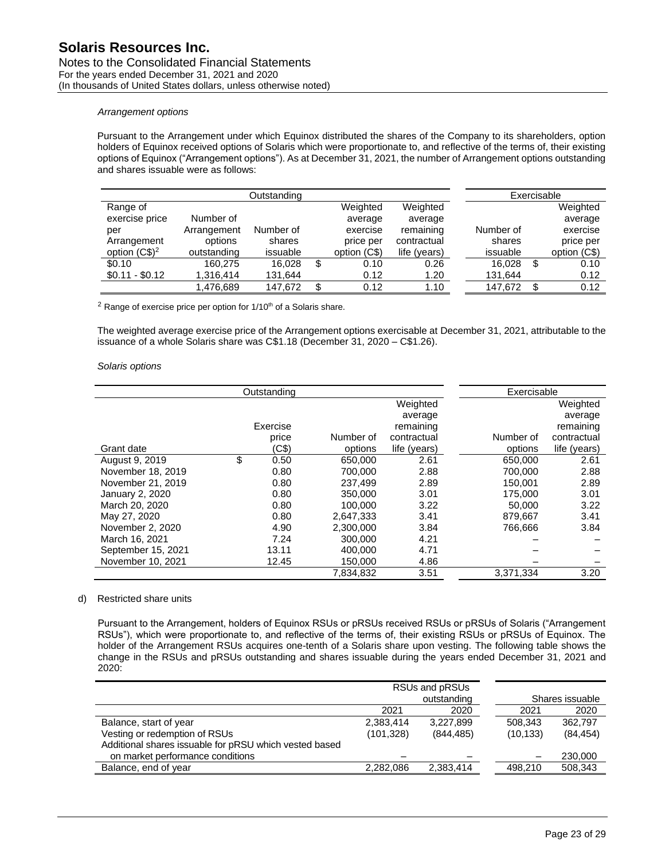#### *Arrangement options*

Pursuant to the Arrangement under which Equinox distributed the shares of the Company to its shareholders, option holders of Equinox received options of Solaris which were proportionate to, and reflective of the terms of, their existing options of Equinox ("Arrangement options"). As at December 31, 2021, the number of Arrangement options outstanding and shares issuable were as follows:

|                 |             | Outstanding |              |              |           |   | Exercisable  |
|-----------------|-------------|-------------|--------------|--------------|-----------|---|--------------|
| Range of        |             |             | Weighted     | Weighted     |           |   | Weighted     |
| exercise price  | Number of   |             | average      | average      |           |   | average      |
| per             | Arrangement | Number of   | exercise     | remaining    | Number of |   | exercise     |
| Arrangement     | options     | shares      | price per    | contractual  | shares    |   | price per    |
| option $(C$)^2$ | outstanding | issuable    | option (C\$) | life (years) | issuable  |   | option (C\$) |
| \$0.10          | 160.275     | 16.028      | \$<br>0.10   | 0.26         | 16.028    | S | 0.10         |
| $$0.11 - $0.12$ | 1,316,414   | 131,644     | 0.12         | 1.20         | 131,644   |   | 0.12         |
|                 | 1,476,689   | 147,672     | \$<br>0.12   | 1.10         | 147,672   | S | 0.12         |

 $2$  Range of exercise price per option for  $1/10<sup>th</sup>$  of a Solaris share.

The weighted average exercise price of the Arrangement options exercisable at December 31, 2021, attributable to the issuance of a whole Solaris share was C\$1.18 (December 31, 2020 – C\$1.26).

#### *Solaris options*

|                    | Outstanding |           |              | Exercisable |              |
|--------------------|-------------|-----------|--------------|-------------|--------------|
|                    |             |           | Weighted     |             | Weighted     |
|                    |             |           | average      |             | average      |
|                    | Exercise    |           | remaining    |             | remaining    |
|                    | price       | Number of | contractual  | Number of   | contractual  |
| Grant date         | (C\$)       | options   | life (years) | options     | life (years) |
| August 9, 2019     | \$<br>0.50  | 650,000   | 2.61         | 650,000     | 2.61         |
| November 18, 2019  | 0.80        | 700.000   | 2.88         | 700.000     | 2.88         |
| November 21, 2019  | 0.80        | 237.499   | 2.89         | 150.001     | 2.89         |
| January 2, 2020    | 0.80        | 350,000   | 3.01         | 175,000     | 3.01         |
| March 20, 2020     | 0.80        | 100.000   | 3.22         | 50,000      | 3.22         |
| May 27, 2020       | 0.80        | 2.647.333 | 3.41         | 879,667     | 3.41         |
| November 2, 2020   | 4.90        | 2.300.000 | 3.84         | 766.666     | 3.84         |
| March 16, 2021     | 7.24        | 300,000   | 4.21         |             |              |
| September 15, 2021 | 13.11       | 400.000   | 4.71         |             |              |
| November 10, 2021  | 12.45       | 150,000   | 4.86         |             |              |
|                    |             | 7.834.832 | 3.51         | 3,371,334   | 3.20         |

#### d) Restricted share units

Pursuant to the Arrangement, holders of Equinox RSUs or pRSUs received RSUs or pRSUs of Solaris ("Arrangement RSUs"), which were proportionate to, and reflective of the terms of, their existing RSUs or pRSUs of Equinox. The holder of the Arrangement RSUs acquires one-tenth of a Solaris share upon vesting. The following table shows the change in the RSUs and pRSUs outstanding and shares issuable during the years ended December 31, 2021 and 2020:

|                                                        |            | RSUs and pRSUs |           |                 |
|--------------------------------------------------------|------------|----------------|-----------|-----------------|
|                                                        |            | outstanding    |           | Shares issuable |
|                                                        | 2021       | 2020           | 2021      | 2020            |
| Balance, start of year                                 | 2,383,414  | 3,227,899      | 508.343   | 362.797         |
| Vesting or redemption of RSUs                          | (101, 328) | (844, 485)     | (10, 133) | (84, 454)       |
| Additional shares issuable for pRSU which vested based |            |                |           |                 |
| on market performance conditions                       |            |                |           | 230,000         |
| Balance, end of year                                   | 2,282,086  | 2,383,414      | 498.210   | 508,343         |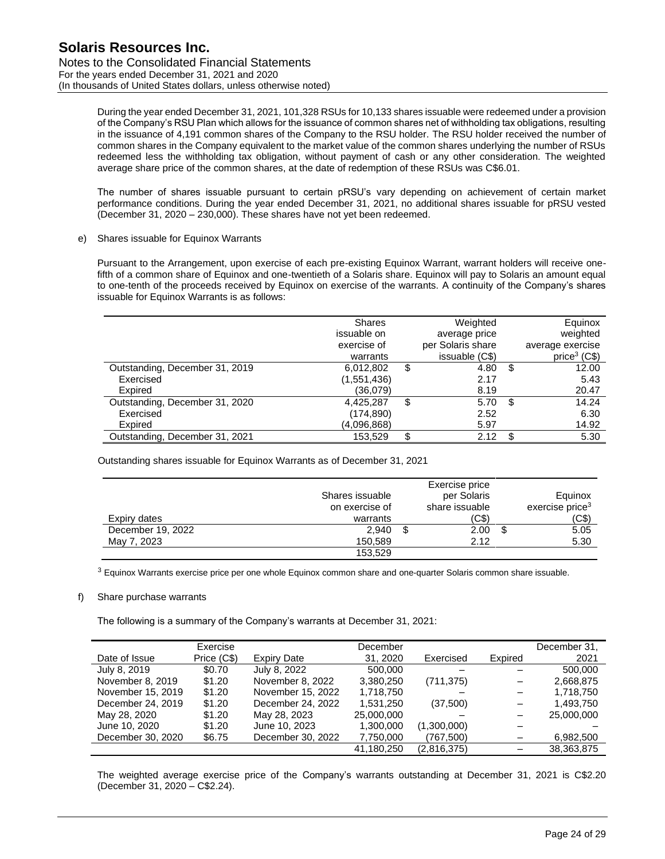During the year ended December 31, 2021, 101,328 RSUs for 10,133 shares issuable were redeemed under a provision of the Company's RSU Plan which allows for the issuance of common shares net of withholding tax obligations, resulting in the issuance of 4,191 common shares of the Company to the RSU holder. The RSU holder received the number of common shares in the Company equivalent to the market value of the common shares underlying the number of RSUs redeemed less the withholding tax obligation, without payment of cash or any other consideration. The weighted average share price of the common shares, at the date of redemption of these RSUs was C\$6.01.

The number of shares issuable pursuant to certain pRSU's vary depending on achievement of certain market performance conditions. During the year ended December 31, 2021, no additional shares issuable for pRSU vested (December 31, 2020 – 230,000). These shares have not yet been redeemed.

e) Shares issuable for Equinox Warrants

Pursuant to the Arrangement, upon exercise of each pre-existing Equinox Warrant, warrant holders will receive onefifth of a common share of Equinox and one-twentieth of a Solaris share. Equinox will pay to Solaris an amount equal to one-tenth of the proceeds received by Equinox on exercise of the warrants. A continuity of the Company's shares issuable for Equinox Warrants is as follows:

|                                | <b>Shares</b> | Weighted          |     | Equinox                   |
|--------------------------------|---------------|-------------------|-----|---------------------------|
|                                | issuable on   | average price     |     | weighted                  |
|                                | exercise of   | per Solaris share |     | average exercise          |
|                                | warrants      | issuable (C\$)    |     | price <sup>3</sup> $(C$)$ |
| Outstanding, December 31, 2019 | 6,012,802     | \$<br>4.80        | \$. | 12.00                     |
| Exercised                      | (1,551,436)   | 2.17              |     | 5.43                      |
| Expired                        | (36,079)      | 8.19              |     | 20.47                     |
| Outstanding, December 31, 2020 | 4,425,287     | \$<br>5.70        | \$  | 14.24                     |
| Exercised                      | (174, 890)    | 2.52              |     | 6.30                      |
| Expired                        | (4,096,868)   | 5.97              |     | 14.92                     |
| Outstanding, December 31, 2021 | 153,529       | \$<br>2.12        | S   | 5.30                      |

Outstanding shares issuable for Equinox Warrants as of December 31, 2021

|                   | Shares issuable<br>on exercise of |   | Exercise price<br>per Solaris<br>share issuable | Equinox<br>exercise price <sup>3</sup> |
|-------------------|-----------------------------------|---|-------------------------------------------------|----------------------------------------|
| Expiry dates      | warrants                          |   | (C\$)                                           | (C\$)                                  |
| December 19, 2022 | 2.940                             | S | 2.00                                            | 5.05                                   |
| May 7, 2023       | 150,589                           |   | 2.12                                            | 5.30                                   |
|                   | 153.529                           |   |                                                 |                                        |

 $3$  Equinox Warrants exercise price per one whole Equinox common share and one-quarter Solaris common share issuable.

#### f) Share purchase warrants

The following is a summary of the Company's warrants at December 31, 2021:

|                   | Exercise    |                    | December   |             |         | December 31, |
|-------------------|-------------|--------------------|------------|-------------|---------|--------------|
| Date of Issue     | Price (C\$) | <b>Expiry Date</b> | 31, 2020   | Exercised   | Expired | 2021         |
| July 8, 2019      | \$0.70      | July 8, 2022       | 500,000    |             |         | 500.000      |
| November 8, 2019  | \$1.20      | November 8, 2022   | 3,380,250  | (711, 375)  |         | 2,668,875    |
| November 15, 2019 | \$1.20      | November 15, 2022  | 1.718.750  |             | —       | 1,718,750    |
| December 24, 2019 | \$1.20      | December 24, 2022  | 1.531.250  | (37,500)    | —       | 1,493,750    |
| May 28, 2020      | \$1.20      | May 28, 2023       | 25,000,000 |             |         | 25,000,000   |
| June 10, 2020     | \$1.20      | June 10, 2023      | 1,300,000  | (1,300,000) |         |              |
| December 30, 2020 | \$6.75      | December 30, 2022  | 7,750,000  | (767, 500)  |         | 6,982,500    |
|                   |             |                    | 41.180.250 | (2,816,375) |         | 38.363.875   |

The weighted average exercise price of the Company's warrants outstanding at December 31, 2021 is C\$2.20 (December 31, 2020 – C\$2.24).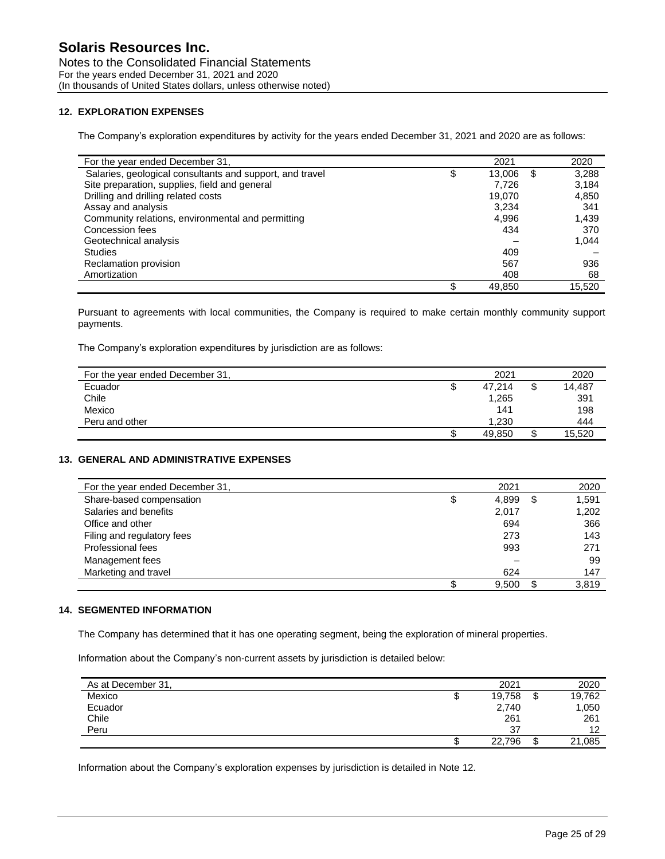Notes to the Consolidated Financial Statements For the years ended December 31, 2021 and 2020 (In thousands of United States dollars, unless otherwise noted)

#### **12. EXPLORATION EXPENSES**

The Company's exploration expenditures by activity for the years ended December 31, 2021 and 2020 are as follows:

| For the year ended December 31,                          | 2021   | 2020        |
|----------------------------------------------------------|--------|-------------|
| Salaries, geological consultants and support, and travel | 13.006 | \$<br>3,288 |
| Site preparation, supplies, field and general            | 7.726  | 3,184       |
| Drilling and drilling related costs                      | 19.070 | 4,850       |
| Assay and analysis                                       | 3.234  | 341         |
| Community relations, environmental and permitting        | 4,996  | 1,439       |
| Concession fees                                          | 434    | 370         |
| Geotechnical analysis                                    |        | 1,044       |
| <b>Studies</b>                                           | 409    |             |
| Reclamation provision                                    | 567    | 936         |
| Amortization                                             | 408    | 68          |
|                                                          | 49.850 | 15.520      |

Pursuant to agreements with local communities, the Company is required to make certain monthly community support payments.

The Company's exploration expenditures by jurisdiction are as follows:

| For the year ended December 31, | 2021   |   | 2020   |
|---------------------------------|--------|---|--------|
| Ecuador                         | 47.214 | J | 14,487 |
| Chile                           | 1,265  |   | 391    |
| Mexico                          | 141    |   | 198    |
| Peru and other                  | 1.230  |   | 444    |
|                                 | 49,850 |   | 15.520 |

### <span id="page-25-0"></span>**13. GENERAL AND ADMINISTRATIVE EXPENSES**

| For the year ended December 31, | 2021  |   | 2020  |
|---------------------------------|-------|---|-------|
| Share-based compensation        | 4,899 | S | 1,591 |
| Salaries and benefits           | 2,017 |   | 1,202 |
| Office and other                | 694   |   | 366   |
| Filing and regulatory fees      | 273   |   | 143   |
| Professional fees               | 993   |   | 271   |
| Management fees                 |       |   | 99    |
| Marketing and travel            | 624   |   | 147   |
|                                 | 9,500 |   | 3,819 |

#### **14. SEGMENTED INFORMATION**

The Company has determined that it has one operating segment, being the exploration of mineral properties.

Information about the Company's non-current assets by jurisdiction is detailed below:

| As at December 31, | 2021   |        | 2020   |
|--------------------|--------|--------|--------|
| Mexico             | 19,758 | ◠<br>ง | 19,762 |
| Ecuador            | 2,740  |        | 1,050  |
| Chile              | 261    |        | 261    |
| Peru               | 37     |        | 12     |
|                    | 22,796 | æ      | 21,085 |

Information about the Company's exploration expenses by jurisdiction is detailed in Note 12.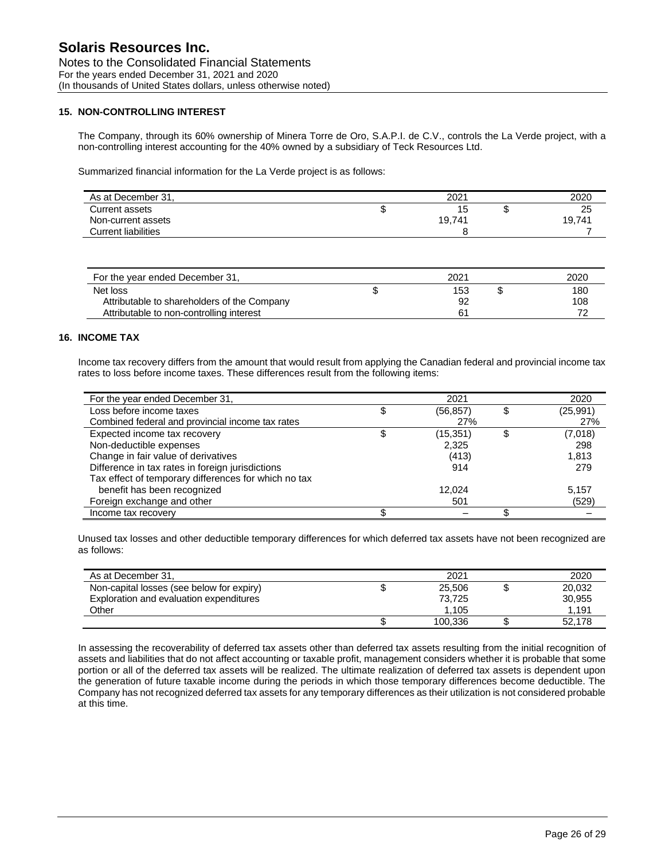#### <span id="page-26-0"></span>**15. NON-CONTROLLING INTEREST**

The Company, through its 60% ownership of Minera Torre de Oro, S.A.P.I. de C.V., controls the La Verde project, with a non-controlling interest accounting for the 40% owned by a subsidiary of Teck Resources Ltd.

Summarized financial information for the La Verde project is as follows:

| As at December 31,         | 2021   |   | 2020   |
|----------------------------|--------|---|--------|
| Current assets             | 15     | Ψ | 25     |
| Non-current assets         | 19.741 |   | 19,741 |
| <b>Current liabilities</b> |        |   |        |

| For the year ended December 31,             | 2021 | 2020 |
|---------------------------------------------|------|------|
| Net loss                                    | 153  | 180  |
| Attributable to shareholders of the Company | 92   | 108  |
| Attributable to non-controlling interest    | 61   |      |

#### **16. INCOME TAX**

Income tax recovery differs from the amount that would result from applying the Canadian federal and provincial income tax rates to loss before income taxes. These differences result from the following items:

| For the year ended December 31,                      | 2021       |   | 2020      |
|------------------------------------------------------|------------|---|-----------|
| Loss before income taxes                             | (56, 857)  |   | (25, 991) |
| Combined federal and provincial income tax rates     | <b>27%</b> |   | 27%       |
| Expected income tax recovery                         | (15,351)   | S | (7,018)   |
| Non-deductible expenses                              | 2.325      |   | 298       |
| Change in fair value of derivatives                  | (413)      |   | 1,813     |
| Difference in tax rates in foreign jurisdictions     | 914        |   | 279       |
| Tax effect of temporary differences for which no tax |            |   |           |
| benefit has been recognized                          | 12.024     |   | 5,157     |
| Foreign exchange and other                           | 501        |   | (529)     |
| Income tax recovery                                  |            |   |           |

Unused tax losses and other deductible temporary differences for which deferred tax assets have not been recognized are as follows:

| As at December 31,                        | 2021    | 2020   |
|-------------------------------------------|---------|--------|
| Non-capital losses (see below for expiry) | 25.506  | 20,032 |
| Exploration and evaluation expenditures   | 73.725  | 30,955 |
| Other                                     | 1.105   | 1,191  |
|                                           | 100.336 | 52.178 |

In assessing the recoverability of deferred tax assets other than deferred tax assets resulting from the initial recognition of assets and liabilities that do not affect accounting or taxable profit, management considers whether it is probable that some portion or all of the deferred tax assets will be realized. The ultimate realization of deferred tax assets is dependent upon the generation of future taxable income during the periods in which those temporary differences become deductible. The Company has not recognized deferred tax assets for any temporary differences as their utilization is not considered probable at this time.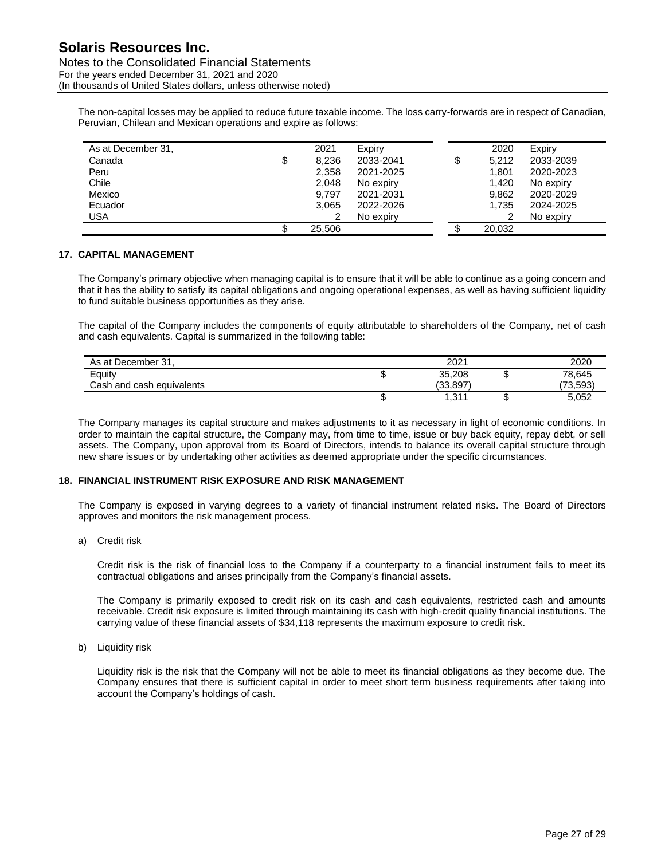Notes to the Consolidated Financial Statements For the years ended December 31, 2021 and 2020 (In thousands of United States dollars, unless otherwise noted)

The non-capital losses may be applied to reduce future taxable income. The loss carry-forwards are in respect of Canadian, Peruvian, Chilean and Mexican operations and expire as follows:

| As at December 31. |   | 2021   | Expiry    | 2020        | Expirv    |
|--------------------|---|--------|-----------|-------------|-----------|
| Canada             | ง | 8,236  | 2033-2041 | \$<br>5,212 | 2033-2039 |
| Peru               |   | 2,358  | 2021-2025 | 1,801       | 2020-2023 |
| Chile              |   | 2.048  | No expiry | 1.420       | No expiry |
| Mexico             |   | 9.797  | 2021-2031 | 9.862       | 2020-2029 |
| Ecuador            |   | 3,065  | 2022-2026 | 1.735       | 2024-2025 |
| USA                |   | 2      | No expiry |             | No expiry |
|                    |   | 25,506 |           | 20,032      |           |

#### **17. CAPITAL MANAGEMENT**

The Company's primary objective when managing capital is to ensure that it will be able to continue as a going concern and that it has the ability to satisfy its capital obligations and ongoing operational expenses, as well as having sufficient liquidity to fund suitable business opportunities as they arise.

The capital of the Company includes the components of equity attributable to shareholders of the Company, net of cash and cash equivalents. Capital is summarized in the following table:

| As at December 31,        | 2021         |   | 2020    |
|---------------------------|--------------|---|---------|
| Equity                    | 35,208       | w | 78,645  |
| Cash and cash equivalents | (33,897)     |   | 73.593) |
|                           | 0.11<br>ا ب. |   | 5.052   |

The Company manages its capital structure and makes adjustments to it as necessary in light of economic conditions. In order to maintain the capital structure, the Company may, from time to time, issue or buy back equity, repay debt, or sell assets. The Company, upon approval from its Board of Directors, intends to balance its overall capital structure through new share issues or by undertaking other activities as deemed appropriate under the specific circumstances.

#### **18. FINANCIAL INSTRUMENT RISK EXPOSURE AND RISK MANAGEMENT**

The Company is exposed in varying degrees to a variety of financial instrument related risks. The Board of Directors approves and monitors the risk management process.

a) Credit risk

Credit risk is the risk of financial loss to the Company if a counterparty to a financial instrument fails to meet its contractual obligations and arises principally from the Company's financial assets.

The Company is primarily exposed to credit risk on its cash and cash equivalents, restricted cash and amounts receivable. Credit risk exposure is limited through maintaining its cash with high-credit quality financial institutions. The carrying value of these financial assets of \$34,118 represents the maximum exposure to credit risk.

b) Liquidity risk

Liquidity risk is the risk that the Company will not be able to meet its financial obligations as they become due. The Company ensures that there is sufficient capital in order to meet short term business requirements after taking into account the Company's holdings of cash.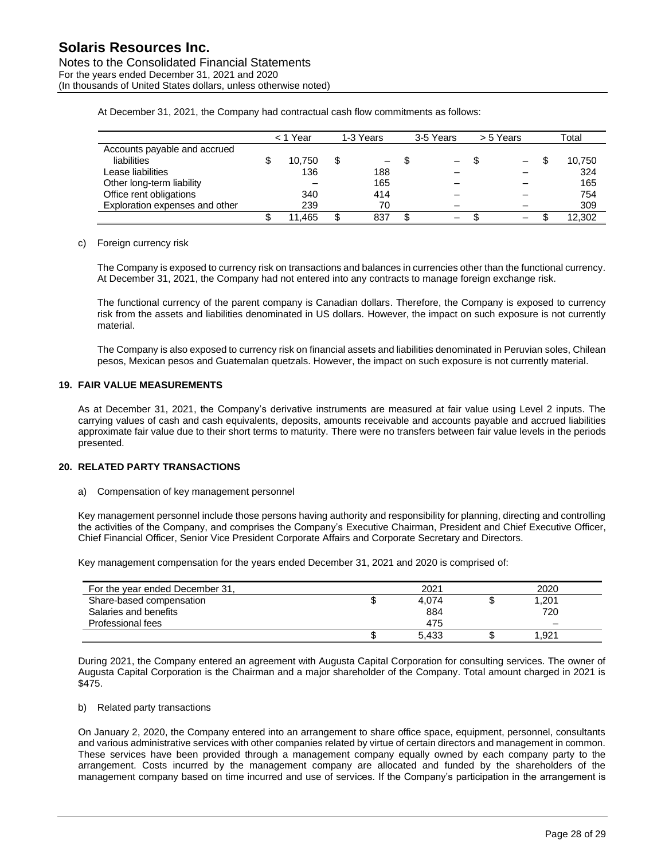Notes to the Consolidated Financial Statements For the years ended December 31, 2021 and 2020 (In thousands of United States dollars, unless otherwise noted)

At December 31, 2021, the Company had contractual cash flow commitments as follows:

|                                | < 1 Year |    | 1-3 Years         | 3-5 Years                | > 5 Years                | Total  |
|--------------------------------|----------|----|-------------------|--------------------------|--------------------------|--------|
| Accounts payable and accrued   |          |    |                   |                          |                          |        |
| liabilities                    | 10.750   | \$ | $\qquad \qquad -$ | $\overline{\phantom{m}}$ | $\overline{\phantom{m}}$ | 10,750 |
| Lease liabilities              | 136      |    | 188               |                          |                          | 324    |
| Other long-term liability      |          |    | 165               |                          |                          | 165    |
| Office rent obligations        | 340      |    | 414               |                          |                          | 754    |
| Exploration expenses and other | 239      |    | 70                |                          |                          | 309    |
|                                | 11.465   | œ  | 837               | $\qquad \qquad$          | -                        | 12.302 |

#### c) Foreign currency risk

The Company is exposed to currency risk on transactions and balances in currencies other than the functional currency. At December 31, 2021, the Company had not entered into any contracts to manage foreign exchange risk.

The functional currency of the parent company is Canadian dollars. Therefore, the Company is exposed to currency risk from the assets and liabilities denominated in US dollars. However, the impact on such exposure is not currently material.

The Company is also exposed to currency risk on financial assets and liabilities denominated in Peruvian soles, Chilean pesos, Mexican pesos and Guatemalan quetzals. However, the impact on such exposure is not currently material.

#### **19. FAIR VALUE MEASUREMENTS**

As at December 31, 2021, the Company's derivative instruments are measured at fair value using Level 2 inputs. The carrying values of cash and cash equivalents, deposits, amounts receivable and accounts payable and accrued liabilities approximate fair value due to their short terms to maturity. There were no transfers between fair value levels in the periods presented.

#### <span id="page-28-0"></span>**20. RELATED PARTY TRANSACTIONS**

#### a) Compensation of key management personnel

Key management personnel include those persons having authority and responsibility for planning, directing and controlling the activities of the Company, and comprises the Company's Executive Chairman, President and Chief Executive Officer, Chief Financial Officer, Senior Vice President Corporate Affairs and Corporate Secretary and Directors.

Key management compensation for the years ended December 31, 2021 and 2020 is comprised of:

| For the year ended December 31, | 2021  | 2020  |  |
|---------------------------------|-------|-------|--|
| Share-based compensation        | 4.074 | 1,201 |  |
| Salaries and benefits           | 884   | 720   |  |
| Professional fees               | 475   | _     |  |
|                                 | 5,433 | .921  |  |

During 2021, the Company entered an agreement with Augusta Capital Corporation for consulting services. The owner of Augusta Capital Corporation is the Chairman and a major shareholder of the Company. Total amount charged in 2021 is \$475.

#### b) Related party transactions

On January 2, 2020, the Company entered into an arrangement to share office space, equipment, personnel, consultants and various administrative services with other companies related by virtue of certain directors and management in common. These services have been provided through a management company equally owned by each company party to the arrangement. Costs incurred by the management company are allocated and funded by the shareholders of the management company based on time incurred and use of services. If the Company's participation in the arrangement is